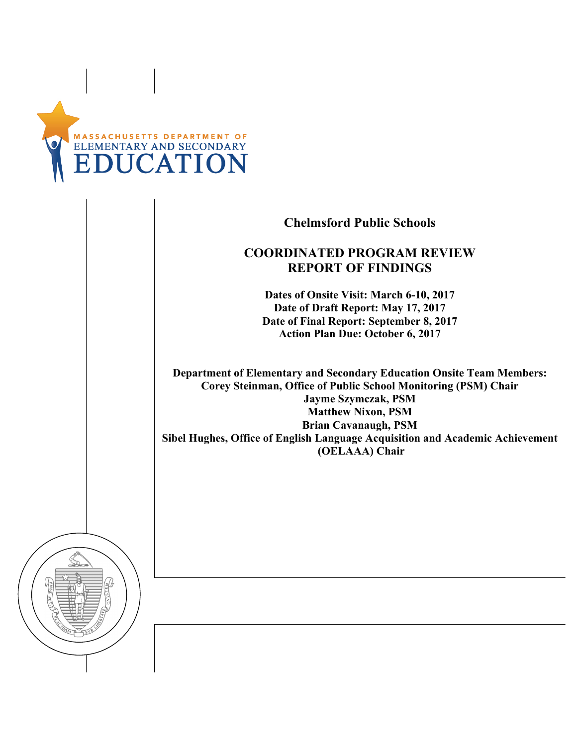

**Chelmsford Public Schools**

### **COORDINATED PROGRAM REVIEW REPORT OF FINDINGS**

**Dates of Onsite Visit: March 6-10, 2017 Date of Draft Report: May 17, 2017 Date of Final Report: September 8, 2017 Action Plan Due: October 6, 2017**

**Department of Elementary and Secondary Education Onsite Team Members: Corey Steinman, Office of Public School Monitoring (PSM) Chair Jayme Szymczak, PSM Matthew Nixon, PSM Brian Cavanaugh, PSM Sibel Hughes, Office of English Language Acquisition and Academic Achievement (OELAAA) Chair**

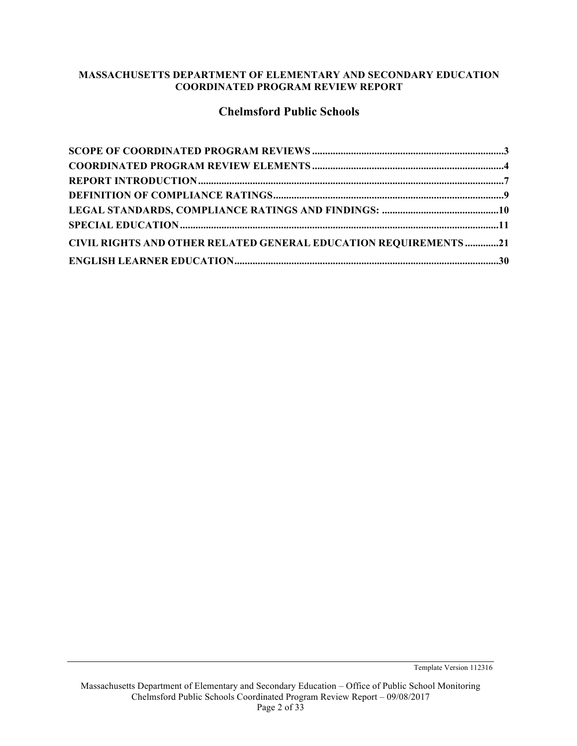#### **MASSACHUSETTS DEPARTMENT OF ELEMENTARY AND SECONDARY EDUCATION COORDINATED PROGRAM REVIEW REPORT**

### **Chelmsford Public Schools**

| <b>CIVIL RIGHTS AND OTHER RELATED GENERAL EDUCATION REQUIREMENTS21</b> |  |
|------------------------------------------------------------------------|--|
|                                                                        |  |

Template Version 112316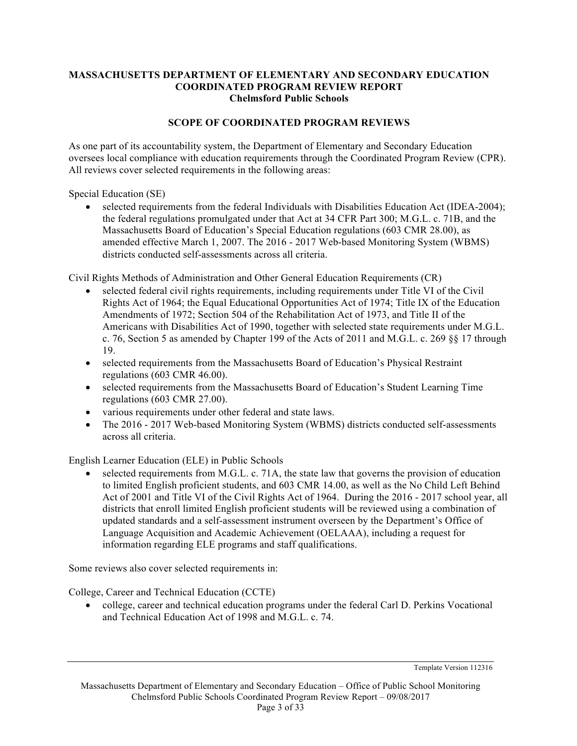#### **MASSACHUSETTS DEPARTMENT OF ELEMENTARY AND SECONDARY EDUCATION COORDINATED PROGRAM REVIEW REPORT Chelmsford Public Schools**

#### **SCOPE OF COORDINATED PROGRAM REVIEWS**

As one part of its accountability system, the Department of Elementary and Secondary Education oversees local compliance with education requirements through the Coordinated Program Review (CPR). All reviews cover selected requirements in the following areas:

Special Education (SE)

• selected requirements from the federal Individuals with Disabilities Education Act (IDEA-2004); the federal regulations promulgated under that Act at 34 CFR Part 300; M.G.L. c. 71B, and the Massachusetts Board of Education's Special Education regulations (603 CMR 28.00), as amended effective March 1, 2007. The 2016 - 2017 Web-based Monitoring System (WBMS) districts conducted self-assessments across all criteria.

Civil Rights Methods of Administration and Other General Education Requirements (CR)

- selected federal civil rights requirements, including requirements under Title VI of the Civil Rights Act of 1964; the Equal Educational Opportunities Act of 1974; Title IX of the Education Amendments of 1972; Section 504 of the Rehabilitation Act of 1973, and Title II of the Americans with Disabilities Act of 1990, together with selected state requirements under M.G.L. c. 76, Section 5 as amended by Chapter 199 of the Acts of 2011 and M.G.L. c. 269 §§ 17 through 19.
- selected requirements from the Massachusetts Board of Education's Physical Restraint regulations (603 CMR 46.00).
- selected requirements from the Massachusetts Board of Education's Student Learning Time regulations (603 CMR 27.00).
- various requirements under other federal and state laws.
- The 2016 2017 Web-based Monitoring System (WBMS) districts conducted self-assessments across all criteria.

English Learner Education (ELE) in Public Schools

• selected requirements from M.G.L. c. 71A, the state law that governs the provision of education to limited English proficient students, and 603 CMR 14.00, as well as the No Child Left Behind Act of 2001 and Title VI of the Civil Rights Act of 1964. During the 2016 - 2017 school year, all districts that enroll limited English proficient students will be reviewed using a combination of updated standards and a self-assessment instrument overseen by the Department's Office of Language Acquisition and Academic Achievement (OELAAA), including a request for information regarding ELE programs and staff qualifications.

Some reviews also cover selected requirements in:

College, Career and Technical Education (CCTE)

• college, career and technical education programs under the federal Carl D. Perkins Vocational and Technical Education Act of 1998 and M.G.L. c. 74.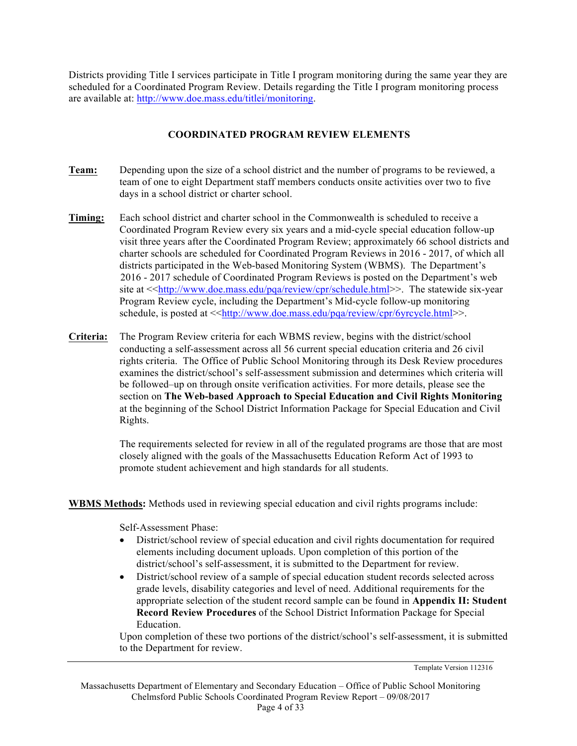Districts providing Title I services participate in Title I program monitoring during the same year they are scheduled for a Coordinated Program Review. Details regarding the Title I program monitoring process are available at: http://www.doe.mass.edu/titlei/monitoring.

#### **COORDINATED PROGRAM REVIEW ELEMENTS**

- **Team:** Depending upon the size of a school district and the number of programs to be reviewed, a team of one to eight Department staff members conducts onsite activities over two to five days in a school district or charter school.
- **Timing:** Each school district and charter school in the Commonwealth is scheduled to receive a Coordinated Program Review every six years and a mid-cycle special education follow-up visit three years after the Coordinated Program Review; approximately 66 school districts and charter schools are scheduled for Coordinated Program Reviews in 2016 - 2017, of which all districts participated in the Web-based Monitoring System (WBMS). The Department's 2016 - 2017 schedule of Coordinated Program Reviews is posted on the Department's web site at <<http://www.doe.mass.edu/pqa/review/cpr/schedule.html>>. The statewide six-year Program Review cycle, including the Department's Mid-cycle follow-up monitoring schedule, is posted at <<http://www.doe.mass.edu/pqa/review/cpr/6yrcycle.html>>.
- **Criteria:** The Program Review criteria for each WBMS review, begins with the district/school conducting a self-assessment across all 56 current special education criteria and 26 civil rights criteria. The Office of Public School Monitoring through its Desk Review procedures examines the district/school's self-assessment submission and determines which criteria will be followed–up on through onsite verification activities. For more details, please see the section on **The Web-based Approach to Special Education and Civil Rights Monitoring** at the beginning of the School District Information Package for Special Education and Civil Rights.

The requirements selected for review in all of the regulated programs are those that are most closely aligned with the goals of the Massachusetts Education Reform Act of 1993 to promote student achievement and high standards for all students.

**WBMS Methods:** Methods used in reviewing special education and civil rights programs include:

Self-Assessment Phase:

- District/school review of special education and civil rights documentation for required elements including document uploads. Upon completion of this portion of the district/school's self-assessment, it is submitted to the Department for review.
- District/school review of a sample of special education student records selected across grade levels, disability categories and level of need. Additional requirements for the appropriate selection of the student record sample can be found in **Appendix II: Student Record Review Procedures** of the School District Information Package for Special Education.

Upon completion of these two portions of the district/school's self-assessment, it is submitted to the Department for review.

Template Version 112316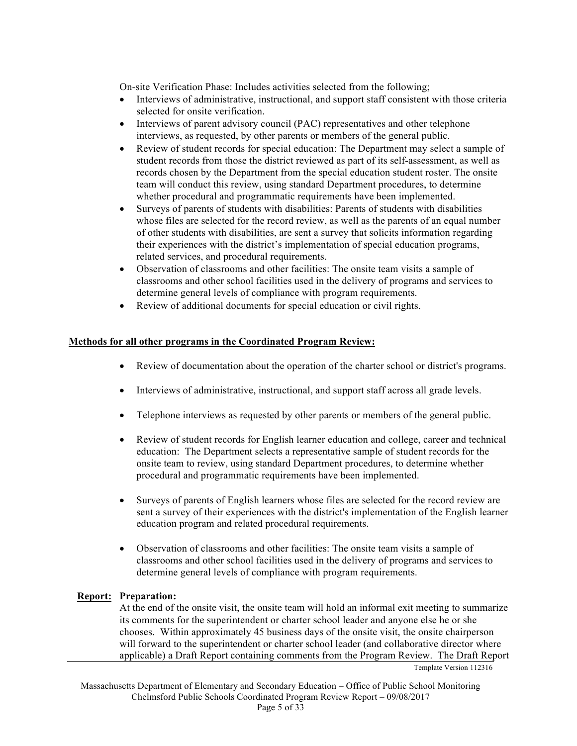On-site Verification Phase: Includes activities selected from the following;

- Interviews of administrative, instructional, and support staff consistent with those criteria selected for onsite verification.
- Interviews of parent advisory council (PAC) representatives and other telephone interviews, as requested, by other parents or members of the general public.
- Review of student records for special education: The Department may select a sample of student records from those the district reviewed as part of its self-assessment, as well as records chosen by the Department from the special education student roster. The onsite team will conduct this review, using standard Department procedures, to determine whether procedural and programmatic requirements have been implemented.
- Surveys of parents of students with disabilities: Parents of students with disabilities whose files are selected for the record review, as well as the parents of an equal number of other students with disabilities, are sent a survey that solicits information regarding their experiences with the district's implementation of special education programs, related services, and procedural requirements.
- Observation of classrooms and other facilities: The onsite team visits a sample of classrooms and other school facilities used in the delivery of programs and services to determine general levels of compliance with program requirements.
- Review of additional documents for special education or civil rights.

#### **Methods for all other programs in the Coordinated Program Review:**

- Review of documentation about the operation of the charter school or district's programs.
- Interviews of administrative, instructional, and support staff across all grade levels.
- Telephone interviews as requested by other parents or members of the general public.
- Review of student records for English learner education and college, career and technical education: The Department selects a representative sample of student records for the onsite team to review, using standard Department procedures, to determine whether procedural and programmatic requirements have been implemented.
- Surveys of parents of English learners whose files are selected for the record review are sent a survey of their experiences with the district's implementation of the English learner education program and related procedural requirements.
- Observation of classrooms and other facilities: The onsite team visits a sample of classrooms and other school facilities used in the delivery of programs and services to determine general levels of compliance with program requirements.

#### **Report: Preparation:**

At the end of the onsite visit, the onsite team will hold an informal exit meeting to summarize its comments for the superintendent or charter school leader and anyone else he or she chooses. Within approximately 45 business days of the onsite visit, the onsite chairperson will forward to the superintendent or charter school leader (and collaborative director where applicable) a Draft Report containing comments from the Program Review. The Draft Report

Template Version 112316

Massachusetts Department of Elementary and Secondary Education – Office of Public School Monitoring Chelmsford Public Schools Coordinated Program Review Report – 09/08/2017 Page 5 of 33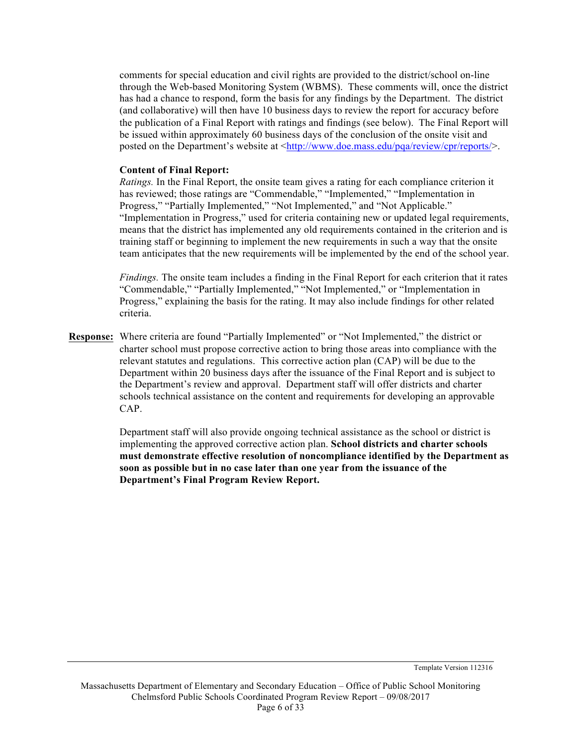comments for special education and civil rights are provided to the district/school on-line through the Web-based Monitoring System (WBMS). These comments will, once the district has had a chance to respond, form the basis for any findings by the Department. The district (and collaborative) will then have 10 business days to review the report for accuracy before the publication of a Final Report with ratings and findings (see below). The Final Report will be issued within approximately 60 business days of the conclusion of the onsite visit and posted on the Department's website at <http://www.doe.mass.edu/pqa/review/cpr/reports/>.

#### **Content of Final Report:**

*Ratings.* In the Final Report, the onsite team gives a rating for each compliance criterion it has reviewed; those ratings are "Commendable," "Implemented," "Implementation in Progress," "Partially Implemented," "Not Implemented," and "Not Applicable." "Implementation in Progress," used for criteria containing new or updated legal requirements, means that the district has implemented any old requirements contained in the criterion and is training staff or beginning to implement the new requirements in such a way that the onsite team anticipates that the new requirements will be implemented by the end of the school year.

*Findings.* The onsite team includes a finding in the Final Report for each criterion that it rates "Commendable," "Partially Implemented," "Not Implemented," or "Implementation in Progress," explaining the basis for the rating. It may also include findings for other related criteria.

**Response:** Where criteria are found "Partially Implemented" or "Not Implemented," the district or charter school must propose corrective action to bring those areas into compliance with the relevant statutes and regulations. This corrective action plan (CAP) will be due to the Department within 20 business days after the issuance of the Final Report and is subject to the Department's review and approval. Department staff will offer districts and charter schools technical assistance on the content and requirements for developing an approvable CAP.

> Department staff will also provide ongoing technical assistance as the school or district is implementing the approved corrective action plan. **School districts and charter schools must demonstrate effective resolution of noncompliance identified by the Department as soon as possible but in no case later than one year from the issuance of the Department's Final Program Review Report.**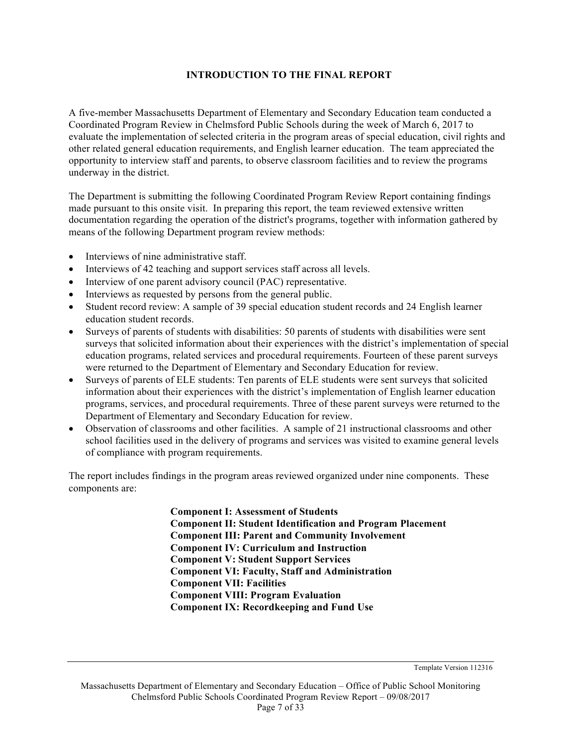#### **INTRODUCTION TO THE FINAL REPORT**

A five-member Massachusetts Department of Elementary and Secondary Education team conducted a Coordinated Program Review in Chelmsford Public Schools during the week of March 6, 2017 to evaluate the implementation of selected criteria in the program areas of special education, civil rights and other related general education requirements, and English learner education. The team appreciated the opportunity to interview staff and parents, to observe classroom facilities and to review the programs underway in the district.

The Department is submitting the following Coordinated Program Review Report containing findings made pursuant to this onsite visit. In preparing this report, the team reviewed extensive written documentation regarding the operation of the district's programs, together with information gathered by means of the following Department program review methods:

- Interviews of nine administrative staff.
- Interviews of 42 teaching and support services staff across all levels.
- Interview of one parent advisory council (PAC) representative.
- Interviews as requested by persons from the general public.
- Student record review: A sample of 39 special education student records and 24 English learner education student records.
- Surveys of parents of students with disabilities: 50 parents of students with disabilities were sent surveys that solicited information about their experiences with the district's implementation of special education programs, related services and procedural requirements. Fourteen of these parent surveys were returned to the Department of Elementary and Secondary Education for review.
- Surveys of parents of ELE students: Ten parents of ELE students were sent surveys that solicited information about their experiences with the district's implementation of English learner education programs, services, and procedural requirements. Three of these parent surveys were returned to the Department of Elementary and Secondary Education for review.
- Observation of classrooms and other facilities. A sample of 21 instructional classrooms and other school facilities used in the delivery of programs and services was visited to examine general levels of compliance with program requirements.

The report includes findings in the program areas reviewed organized under nine components. These components are:

> **Component I: Assessment of Students Component II: Student Identification and Program Placement Component III: Parent and Community Involvement Component IV: Curriculum and Instruction Component V: Student Support Services Component VI: Faculty, Staff and Administration Component VII: Facilities Component VIII: Program Evaluation Component IX: Recordkeeping and Fund Use**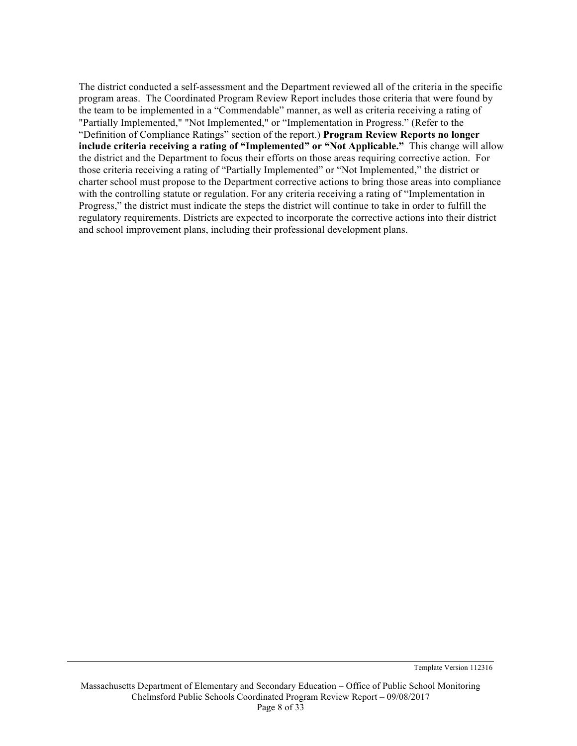The district conducted a self-assessment and the Department reviewed all of the criteria in the specific program areas. The Coordinated Program Review Report includes those criteria that were found by the team to be implemented in a "Commendable" manner, as well as criteria receiving a rating of "Partially Implemented," "Not Implemented," or "Implementation in Progress." (Refer to the "Definition of Compliance Ratings" section of the report.) **Program Review Reports no longer include criteria receiving a rating of "Implemented" or "Not Applicable."** This change will allow the district and the Department to focus their efforts on those areas requiring corrective action. For those criteria receiving a rating of "Partially Implemented" or "Not Implemented," the district or charter school must propose to the Department corrective actions to bring those areas into compliance with the controlling statute or regulation. For any criteria receiving a rating of "Implementation in Progress," the district must indicate the steps the district will continue to take in order to fulfill the regulatory requirements. Districts are expected to incorporate the corrective actions into their district and school improvement plans, including their professional development plans.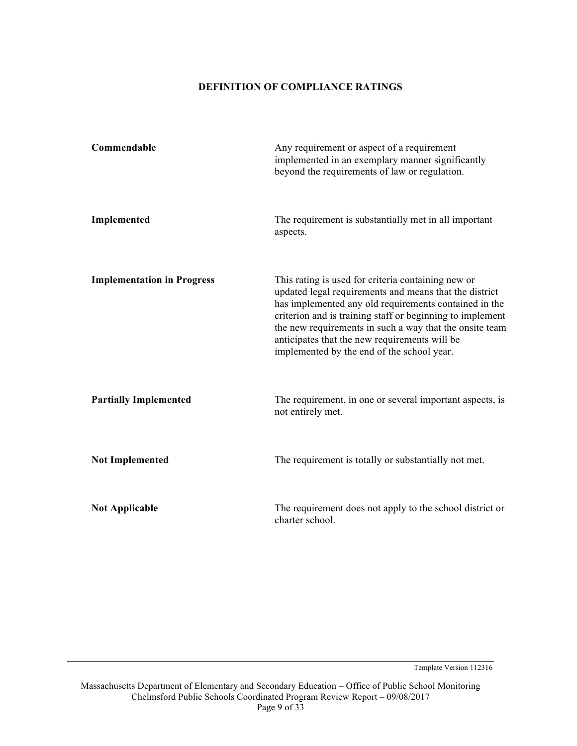#### **DEFINITION OF COMPLIANCE RATINGS**

| Commendable                       | Any requirement or aspect of a requirement<br>implemented in an exemplary manner significantly<br>beyond the requirements of law or regulation.                                                                                                                                                                                                                                              |
|-----------------------------------|----------------------------------------------------------------------------------------------------------------------------------------------------------------------------------------------------------------------------------------------------------------------------------------------------------------------------------------------------------------------------------------------|
| Implemented                       | The requirement is substantially met in all important<br>aspects.                                                                                                                                                                                                                                                                                                                            |
| <b>Implementation in Progress</b> | This rating is used for criteria containing new or<br>updated legal requirements and means that the district<br>has implemented any old requirements contained in the<br>criterion and is training staff or beginning to implement<br>the new requirements in such a way that the onsite team<br>anticipates that the new requirements will be<br>implemented by the end of the school year. |
| <b>Partially Implemented</b>      | The requirement, in one or several important aspects, is<br>not entirely met.                                                                                                                                                                                                                                                                                                                |
| <b>Not Implemented</b>            | The requirement is totally or substantially not met.                                                                                                                                                                                                                                                                                                                                         |
| <b>Not Applicable</b>             | The requirement does not apply to the school district or<br>charter school.                                                                                                                                                                                                                                                                                                                  |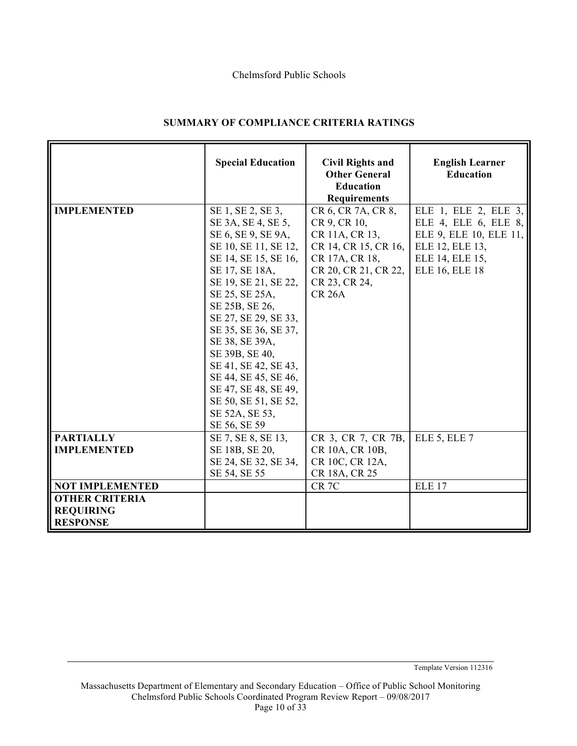#### Chelmsford Public Schools

|                                                                                        | <b>Special Education</b>                                                                                                                                                                                                                                                                                                                                                                                          | <b>Civil Rights and</b><br><b>Other General</b><br><b>Education</b><br><b>Requirements</b>                                                               | <b>English Learner</b><br><b>Education</b>                                                                                            |
|----------------------------------------------------------------------------------------|-------------------------------------------------------------------------------------------------------------------------------------------------------------------------------------------------------------------------------------------------------------------------------------------------------------------------------------------------------------------------------------------------------------------|----------------------------------------------------------------------------------------------------------------------------------------------------------|---------------------------------------------------------------------------------------------------------------------------------------|
| <b>IMPLEMENTED</b>                                                                     | SE 1, SE 2, SE 3,<br>SE 3A, SE 4, SE 5,<br>SE 6, SE 9, SE 9A,<br>SE 10, SE 11, SE 12,<br>SE 14, SE 15, SE 16,<br>SE 17, SE 18A,<br>SE 19, SE 21, SE 22,<br>SE 25, SE 25A,<br>SE 25B, SE 26,<br>SE 27, SE 29, SE 33,<br>SE 35, SE 36, SE 37,<br>SE 38, SE 39A,<br>SE 39B, SE 40,<br>SE 41, SE 42, SE 43,<br>SE 44, SE 45, SE 46,<br>SE 47, SE 48, SE 49,<br>SE 50, SE 51, SE 52,<br>SE 52A, SE 53,<br>SE 56, SE 59 | CR 6, CR 7A, CR 8,<br>CR 9, CR 10,<br>CR 11A, CR 13,<br>CR 14, CR 15, CR 16,<br>CR 17A, CR 18,<br>CR 20, CR 21, CR 22,<br>CR 23, CR 24,<br><b>CR 26A</b> | ELE 1, ELE 2, ELE 3,<br>ELE 4, ELE 6, ELE 8,<br>ELE 9, ELE 10, ELE 11,<br>ELE 12, ELE 13,<br>ELE 14, ELE 15,<br><b>ELE 16, ELE 18</b> |
| <b>PARTIALLY</b><br><b>IMPLEMENTED</b>                                                 | SE 7, SE 8, SE 13,<br>SE 18B, SE 20,<br>SE 24, SE 32, SE 34,<br>SE 54, SE 55                                                                                                                                                                                                                                                                                                                                      | CR 3, CR 7, CR 7B,<br>CR 10A, CR 10B,<br>CR 10C, CR 12A,<br>CR 18A, CR 25                                                                                | ELE 5, ELE 7                                                                                                                          |
| <b>NOT IMPLEMENTED</b><br><b>OTHER CRITERIA</b><br><b>REQUIRING</b><br><b>RESPONSE</b> |                                                                                                                                                                                                                                                                                                                                                                                                                   | CR <sub>7C</sub>                                                                                                                                         | <b>ELE 17</b>                                                                                                                         |

#### **SUMMARY OF COMPLIANCE CRITERIA RATINGS**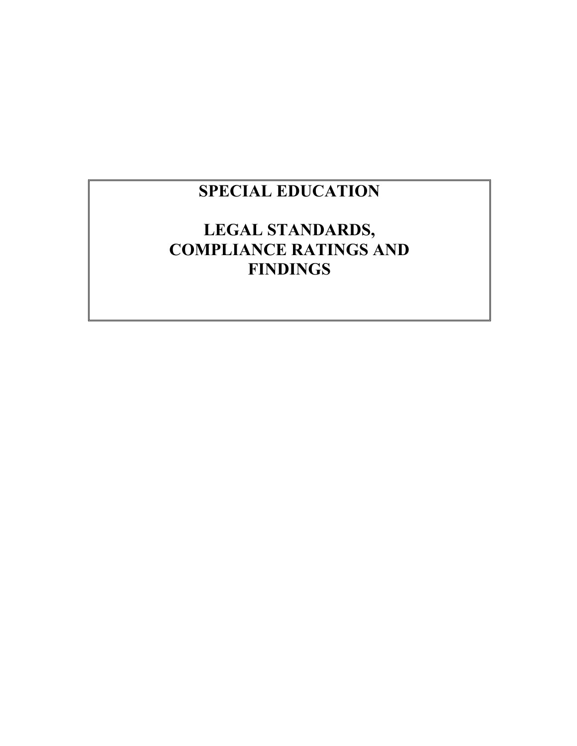# **SPECIAL EDUCATION**

# **LEGAL STANDARDS, COMPLIANCE RATINGS AND FINDINGS**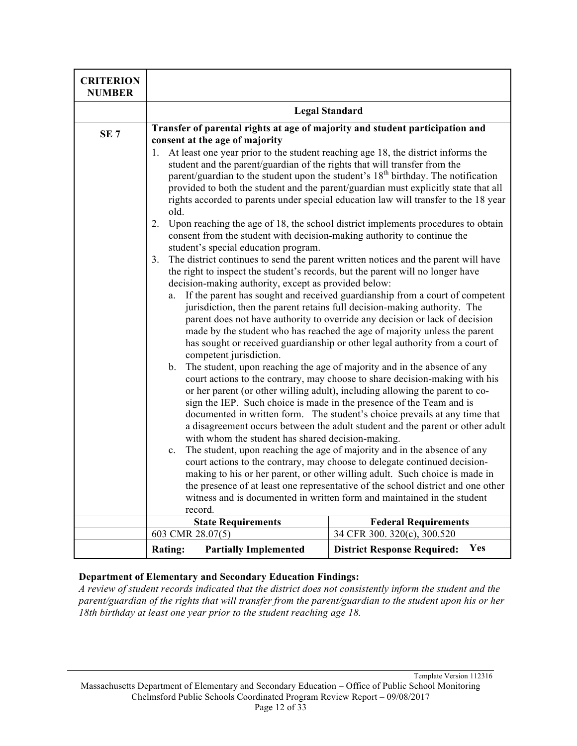| <b>CRITERION</b><br><b>NUMBER</b> |                                                                                                                                                                                                                                                                                                                                                                                                                                                                                                                                                                                                                                                                                                                                                                                                                           |                                                                                                                                                                                                                                                                                                                                                                                                                                                                                                                                                                                                                                                                                                                                                                                                                                                                                                                                                                                                                                                                                                                                                                                                                                                                                                                                                                                                                                                                                                                                                                                                                                                                                                                                           |
|-----------------------------------|---------------------------------------------------------------------------------------------------------------------------------------------------------------------------------------------------------------------------------------------------------------------------------------------------------------------------------------------------------------------------------------------------------------------------------------------------------------------------------------------------------------------------------------------------------------------------------------------------------------------------------------------------------------------------------------------------------------------------------------------------------------------------------------------------------------------------|-------------------------------------------------------------------------------------------------------------------------------------------------------------------------------------------------------------------------------------------------------------------------------------------------------------------------------------------------------------------------------------------------------------------------------------------------------------------------------------------------------------------------------------------------------------------------------------------------------------------------------------------------------------------------------------------------------------------------------------------------------------------------------------------------------------------------------------------------------------------------------------------------------------------------------------------------------------------------------------------------------------------------------------------------------------------------------------------------------------------------------------------------------------------------------------------------------------------------------------------------------------------------------------------------------------------------------------------------------------------------------------------------------------------------------------------------------------------------------------------------------------------------------------------------------------------------------------------------------------------------------------------------------------------------------------------------------------------------------------------|
|                                   | <b>Legal Standard</b>                                                                                                                                                                                                                                                                                                                                                                                                                                                                                                                                                                                                                                                                                                                                                                                                     |                                                                                                                                                                                                                                                                                                                                                                                                                                                                                                                                                                                                                                                                                                                                                                                                                                                                                                                                                                                                                                                                                                                                                                                                                                                                                                                                                                                                                                                                                                                                                                                                                                                                                                                                           |
| SE <sub>7</sub>                   | Transfer of parental rights at age of majority and student participation and<br>consent at the age of majority<br>At least one year prior to the student reaching age 18, the district informs the<br>1.<br>student and the parent/guardian of the rights that will transfer from the<br>old.<br>2.<br>consent from the student with decision-making authority to continue the<br>student's special education program.<br>3.<br>the right to inspect the student's records, but the parent will no longer have<br>decision-making authority, except as provided below:<br>a.<br>competent jurisdiction.<br>b. The student, upon reaching the age of majority and in the absence of any<br>with whom the student has shared decision-making.<br>$\mathbf{c}$ .<br>record.<br><b>State Requirements</b><br>603 CMR 28.07(5) | parent/guardian to the student upon the student's 18 <sup>th</sup> birthday. The notification<br>provided to both the student and the parent/guardian must explicitly state that all<br>rights accorded to parents under special education law will transfer to the 18 year<br>Upon reaching the age of 18, the school district implements procedures to obtain<br>The district continues to send the parent written notices and the parent will have<br>If the parent has sought and received guardianship from a court of competent<br>jurisdiction, then the parent retains full decision-making authority. The<br>parent does not have authority to override any decision or lack of decision<br>made by the student who has reached the age of majority unless the parent<br>has sought or received guardianship or other legal authority from a court of<br>court actions to the contrary, may choose to share decision-making with his<br>or her parent (or other willing adult), including allowing the parent to co-<br>sign the IEP. Such choice is made in the presence of the Team and is<br>documented in written form. The student's choice prevails at any time that<br>a disagreement occurs between the adult student and the parent or other adult<br>The student, upon reaching the age of majority and in the absence of any<br>court actions to the contrary, may choose to delegate continued decision-<br>making to his or her parent, or other willing adult. Such choice is made in<br>the presence of at least one representative of the school district and one other<br>witness and is documented in written form and maintained in the student<br><b>Federal Requirements</b><br>34 CFR 300. 320(c), 300.520 |
|                                   |                                                                                                                                                                                                                                                                                                                                                                                                                                                                                                                                                                                                                                                                                                                                                                                                                           |                                                                                                                                                                                                                                                                                                                                                                                                                                                                                                                                                                                                                                                                                                                                                                                                                                                                                                                                                                                                                                                                                                                                                                                                                                                                                                                                                                                                                                                                                                                                                                                                                                                                                                                                           |
|                                   | <b>Partially Implemented</b><br><b>Rating:</b>                                                                                                                                                                                                                                                                                                                                                                                                                                                                                                                                                                                                                                                                                                                                                                            | Yes<br><b>District Response Required:</b>                                                                                                                                                                                                                                                                                                                                                                                                                                                                                                                                                                                                                                                                                                                                                                                                                                                                                                                                                                                                                                                                                                                                                                                                                                                                                                                                                                                                                                                                                                                                                                                                                                                                                                 |

*A review of student records indicated that the district does not consistently inform the student and the parent/guardian of the rights that will transfer from the parent/guardian to the student upon his or her 18th birthday at least one year prior to the student reaching age 18.*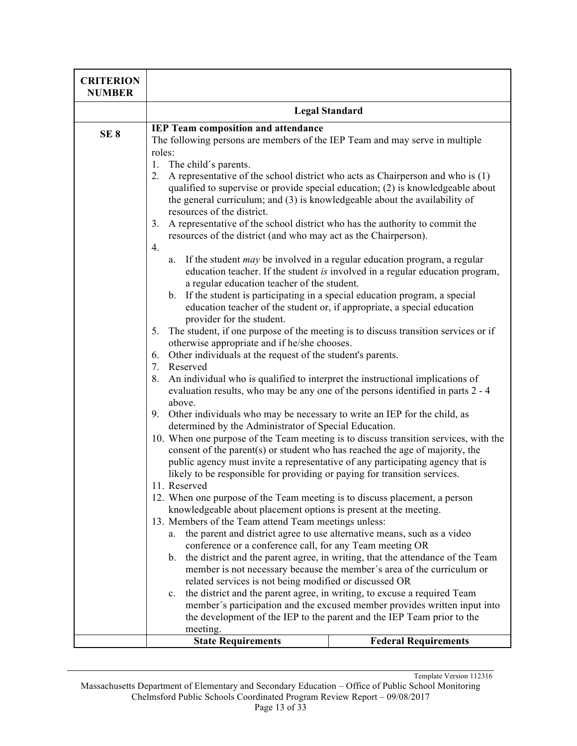| <b>CRITERION</b><br><b>NUMBER</b> |                                                                                                                                                                                                                                                                                                                                                                                                                                                                                                                                                                                                                                                                                                                                                                                                                                                                                                                                                                                                                                                                                                                                                                                                                                                                                                                                                                                                                                                                                                                                                                                                                                                                                                                                                                                                                                                                                                                                                                                                                                                                                                                                                                                                                                                                                                                                                                                                                                                                                                                                                                                                                                       |                                                                                                                                                     |
|-----------------------------------|---------------------------------------------------------------------------------------------------------------------------------------------------------------------------------------------------------------------------------------------------------------------------------------------------------------------------------------------------------------------------------------------------------------------------------------------------------------------------------------------------------------------------------------------------------------------------------------------------------------------------------------------------------------------------------------------------------------------------------------------------------------------------------------------------------------------------------------------------------------------------------------------------------------------------------------------------------------------------------------------------------------------------------------------------------------------------------------------------------------------------------------------------------------------------------------------------------------------------------------------------------------------------------------------------------------------------------------------------------------------------------------------------------------------------------------------------------------------------------------------------------------------------------------------------------------------------------------------------------------------------------------------------------------------------------------------------------------------------------------------------------------------------------------------------------------------------------------------------------------------------------------------------------------------------------------------------------------------------------------------------------------------------------------------------------------------------------------------------------------------------------------------------------------------------------------------------------------------------------------------------------------------------------------------------------------------------------------------------------------------------------------------------------------------------------------------------------------------------------------------------------------------------------------------------------------------------------------------------------------------------------------|-----------------------------------------------------------------------------------------------------------------------------------------------------|
|                                   | <b>Legal Standard</b>                                                                                                                                                                                                                                                                                                                                                                                                                                                                                                                                                                                                                                                                                                                                                                                                                                                                                                                                                                                                                                                                                                                                                                                                                                                                                                                                                                                                                                                                                                                                                                                                                                                                                                                                                                                                                                                                                                                                                                                                                                                                                                                                                                                                                                                                                                                                                                                                                                                                                                                                                                                                                 |                                                                                                                                                     |
| SE <sub>8</sub>                   | <b>IEP Team composition and attendance</b><br>The following persons are members of the IEP Team and may serve in multiple<br>roles:<br>1.<br>The child's parents.<br>A representative of the school district who acts as Chairperson and who is (1)<br>2.<br>qualified to supervise or provide special education; $(2)$ is knowledgeable about<br>the general curriculum; and (3) is knowledgeable about the availability of<br>resources of the district.<br>A representative of the school district who has the authority to commit the<br>3.<br>resources of the district (and who may act as the Chairperson).<br>4.<br>a. If the student $may$ be involved in a regular education program, a regular<br>education teacher. If the student is involved in a regular education program,<br>a regular education teacher of the student.<br>b. If the student is participating in a special education program, a special<br>education teacher of the student or, if appropriate, a special education<br>provider for the student.<br>The student, if one purpose of the meeting is to discuss transition services or if<br>5.<br>otherwise appropriate and if he/she chooses.<br>Other individuals at the request of the student's parents.<br>6.<br>7.<br>Reserved<br>An individual who is qualified to interpret the instructional implications of<br>8.<br>evaluation results, who may be any one of the persons identified in parts 2 - 4<br>above.<br>Other individuals who may be necessary to write an IEP for the child, as<br>9.<br>determined by the Administrator of Special Education.<br>10. When one purpose of the Team meeting is to discuss transition services, with the<br>consent of the parent(s) or student who has reached the age of majority, the<br>public agency must invite a representative of any participating agency that is<br>likely to be responsible for providing or paying for transition services.<br>11. Reserved<br>12. When one purpose of the Team meeting is to discuss placement, a person<br>knowledgeable about placement options is present at the meeting.<br>13. Members of the Team attend Team meetings unless:<br>the parent and district agree to use alternative means, such as a video<br>a.<br>conference or a conference call, for any Team meeting OR<br>b. the district and the parent agree, in writing, that the attendance of the Team<br>member is not necessary because the member's area of the curriculum or<br>related services is not being modified or discussed OR<br>the district and the parent agree, in writing, to excuse a required Team<br>$c_{\cdot}$ |                                                                                                                                                     |
|                                   |                                                                                                                                                                                                                                                                                                                                                                                                                                                                                                                                                                                                                                                                                                                                                                                                                                                                                                                                                                                                                                                                                                                                                                                                                                                                                                                                                                                                                                                                                                                                                                                                                                                                                                                                                                                                                                                                                                                                                                                                                                                                                                                                                                                                                                                                                                                                                                                                                                                                                                                                                                                                                                       |                                                                                                                                                     |
|                                   |                                                                                                                                                                                                                                                                                                                                                                                                                                                                                                                                                                                                                                                                                                                                                                                                                                                                                                                                                                                                                                                                                                                                                                                                                                                                                                                                                                                                                                                                                                                                                                                                                                                                                                                                                                                                                                                                                                                                                                                                                                                                                                                                                                                                                                                                                                                                                                                                                                                                                                                                                                                                                                       |                                                                                                                                                     |
|                                   |                                                                                                                                                                                                                                                                                                                                                                                                                                                                                                                                                                                                                                                                                                                                                                                                                                                                                                                                                                                                                                                                                                                                                                                                                                                                                                                                                                                                                                                                                                                                                                                                                                                                                                                                                                                                                                                                                                                                                                                                                                                                                                                                                                                                                                                                                                                                                                                                                                                                                                                                                                                                                                       |                                                                                                                                                     |
|                                   | meeting.                                                                                                                                                                                                                                                                                                                                                                                                                                                                                                                                                                                                                                                                                                                                                                                                                                                                                                                                                                                                                                                                                                                                                                                                                                                                                                                                                                                                                                                                                                                                                                                                                                                                                                                                                                                                                                                                                                                                                                                                                                                                                                                                                                                                                                                                                                                                                                                                                                                                                                                                                                                                                              | member's participation and the excused member provides written input into<br>the development of the IEP to the parent and the IEP Team prior to the |
|                                   | <b>State Requirements</b>                                                                                                                                                                                                                                                                                                                                                                                                                                                                                                                                                                                                                                                                                                                                                                                                                                                                                                                                                                                                                                                                                                                                                                                                                                                                                                                                                                                                                                                                                                                                                                                                                                                                                                                                                                                                                                                                                                                                                                                                                                                                                                                                                                                                                                                                                                                                                                                                                                                                                                                                                                                                             | <b>Federal Requirements</b>                                                                                                                         |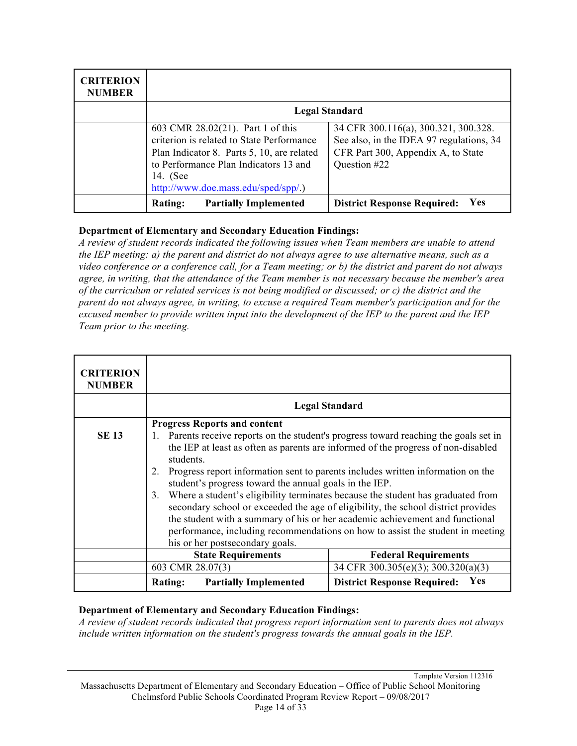| <b>CRITERION</b><br><b>NUMBER</b> |                                                                                                                                                                                                                          |                                                                                                                                        |
|-----------------------------------|--------------------------------------------------------------------------------------------------------------------------------------------------------------------------------------------------------------------------|----------------------------------------------------------------------------------------------------------------------------------------|
|                                   |                                                                                                                                                                                                                          | <b>Legal Standard</b>                                                                                                                  |
|                                   | 603 CMR 28.02(21). Part 1 of this<br>criterion is related to State Performance<br>Plan Indicator 8. Parts 5, 10, are related<br>to Performance Plan Indicators 13 and<br>14. (See<br>http://www.doe.mass.edu/sped/spp/.) | 34 CFR 300.116(a), 300.321, 300.328.<br>See also, in the IDEA 97 regulations, 34<br>CFR Part 300, Appendix A, to State<br>Question #22 |
|                                   | <b>Partially Implemented</b><br><b>Rating:</b>                                                                                                                                                                           | <b>Yes</b><br><b>District Response Required:</b>                                                                                       |

*A review of student records indicated the following issues when Team members are unable to attend the IEP meeting: a) the parent and district do not always agree to use alternative means, such as a video conference or a conference call, for a Team meeting; or b) the district and parent do not always agree, in writing, that the attendance of the Team member is not necessary because the member's area of the curriculum or related services is not being modified or discussed; or c) the district and the parent do not always agree, in writing, to excuse a required Team member's participation and for the excused member to provide written input into the development of the IEP to the parent and the IEP Team prior to the meeting.*

| <b>CRITERION</b><br><b>NUMBER</b> |                                                                                                                                                                                                                                                                                                                                                                                                                                                                                                                                                                                                                                                                                         |                                           |
|-----------------------------------|-----------------------------------------------------------------------------------------------------------------------------------------------------------------------------------------------------------------------------------------------------------------------------------------------------------------------------------------------------------------------------------------------------------------------------------------------------------------------------------------------------------------------------------------------------------------------------------------------------------------------------------------------------------------------------------------|-------------------------------------------|
|                                   |                                                                                                                                                                                                                                                                                                                                                                                                                                                                                                                                                                                                                                                                                         | <b>Legal Standard</b>                     |
|                                   | <b>Progress Reports and content</b>                                                                                                                                                                                                                                                                                                                                                                                                                                                                                                                                                                                                                                                     |                                           |
| <b>SE 13</b>                      | Parents receive reports on the student's progress toward reaching the goals set in<br>the IEP at least as often as parents are informed of the progress of non-disabled<br>students.<br>Progress report information sent to parents includes written information on the<br>2.<br>student's progress toward the annual goals in the IEP.<br>Where a student's eligibility terminates because the student has graduated from<br>3.<br>secondary school or exceeded the age of eligibility, the school district provides<br>the student with a summary of his or her academic achievement and functional<br>performance, including recommendations on how to assist the student in meeting |                                           |
|                                   | his or her postsecondary goals.                                                                                                                                                                                                                                                                                                                                                                                                                                                                                                                                                                                                                                                         |                                           |
|                                   | <b>State Requirements</b>                                                                                                                                                                                                                                                                                                                                                                                                                                                                                                                                                                                                                                                               | <b>Federal Requirements</b>               |
|                                   | 603 CMR 28.07(3)                                                                                                                                                                                                                                                                                                                                                                                                                                                                                                                                                                                                                                                                        | 34 CFR 300.305(e)(3); 300.320(a)(3)       |
|                                   | <b>Partially Implemented</b><br><b>Rating:</b>                                                                                                                                                                                                                                                                                                                                                                                                                                                                                                                                                                                                                                          | Yes<br><b>District Response Required:</b> |

#### **Department of Elementary and Secondary Education Findings:**

*A review of student records indicated that progress report information sent to parents does not always include written information on the student's progress towards the annual goals in the IEP.*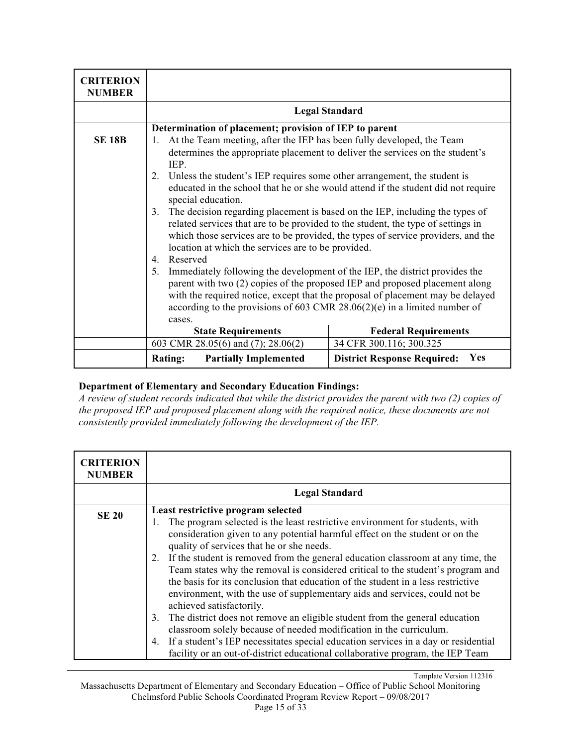| <b>CRITERION</b><br><b>NUMBER</b> |                                                                                                                                                                                                                                                                                                                                                                                                                                                                                                                                                                                                                                                                                                         |                                           |
|-----------------------------------|---------------------------------------------------------------------------------------------------------------------------------------------------------------------------------------------------------------------------------------------------------------------------------------------------------------------------------------------------------------------------------------------------------------------------------------------------------------------------------------------------------------------------------------------------------------------------------------------------------------------------------------------------------------------------------------------------------|-------------------------------------------|
|                                   |                                                                                                                                                                                                                                                                                                                                                                                                                                                                                                                                                                                                                                                                                                         | <b>Legal Standard</b>                     |
|                                   | Determination of placement; provision of IEP to parent                                                                                                                                                                                                                                                                                                                                                                                                                                                                                                                                                                                                                                                  |                                           |
| <b>SE 18B</b>                     | At the Team meeting, after the IEP has been fully developed, the Team<br>1.<br>determines the appropriate placement to deliver the services on the student's<br>IEP.<br>Unless the student's IEP requires some other arrangement, the student is<br>2.<br>educated in the school that he or she would attend if the student did not require<br>special education.<br>The decision regarding placement is based on the IEP, including the types of<br>3.<br>related services that are to be provided to the student, the type of settings in<br>which those services are to be provided, the types of service providers, and the<br>location at which the services are to be provided.<br>Reserved<br>4. |                                           |
|                                   | 5.<br>Immediately following the development of the IEP, the district provides the<br>parent with two (2) copies of the proposed IEP and proposed placement along<br>with the required notice, except that the proposal of placement may be delayed<br>according to the provisions of 603 CMR $28.06(2)(e)$ in a limited number of<br>cases.                                                                                                                                                                                                                                                                                                                                                             |                                           |
|                                   | <b>State Requirements</b>                                                                                                                                                                                                                                                                                                                                                                                                                                                                                                                                                                                                                                                                               | <b>Federal Requirements</b>               |
|                                   | 603 CMR 28.05(6) and (7); 28.06(2)                                                                                                                                                                                                                                                                                                                                                                                                                                                                                                                                                                                                                                                                      | 34 CFR 300.116; 300.325                   |
|                                   | <b>Partially Implemented</b><br><b>Rating:</b>                                                                                                                                                                                                                                                                                                                                                                                                                                                                                                                                                                                                                                                          | Yes<br><b>District Response Required:</b> |

*A review of student records indicated that while the district provides the parent with two (2) copies of the proposed IEP and proposed placement along with the required notice, these documents are not consistently provided immediately following the development of the IEP.*

| <b>CRITERION</b><br><b>NUMBER</b> |                                                                                                                                                                                                                                                                                                                                                                                                                                                                                                                                                                                                                                                                                                                                                                                                                                                                                                                                                                          |
|-----------------------------------|--------------------------------------------------------------------------------------------------------------------------------------------------------------------------------------------------------------------------------------------------------------------------------------------------------------------------------------------------------------------------------------------------------------------------------------------------------------------------------------------------------------------------------------------------------------------------------------------------------------------------------------------------------------------------------------------------------------------------------------------------------------------------------------------------------------------------------------------------------------------------------------------------------------------------------------------------------------------------|
|                                   | <b>Legal Standard</b>                                                                                                                                                                                                                                                                                                                                                                                                                                                                                                                                                                                                                                                                                                                                                                                                                                                                                                                                                    |
| <b>SE 20</b>                      | Least restrictive program selected<br>The program selected is the least restrictive environment for students, with<br>1.<br>consideration given to any potential harmful effect on the student or on the<br>quality of services that he or she needs.<br>If the student is removed from the general education classroom at any time, the<br>2.<br>Team states why the removal is considered critical to the student's program and<br>the basis for its conclusion that education of the student in a less restrictive<br>environment, with the use of supplementary aids and services, could not be<br>achieved satisfactorily.<br>The district does not remove an eligible student from the general education<br>3.<br>classroom solely because of needed modification in the curriculum.<br>If a student's IEP necessitates special education services in a day or residential<br>4.<br>facility or an out-of-district educational collaborative program, the IEP Team |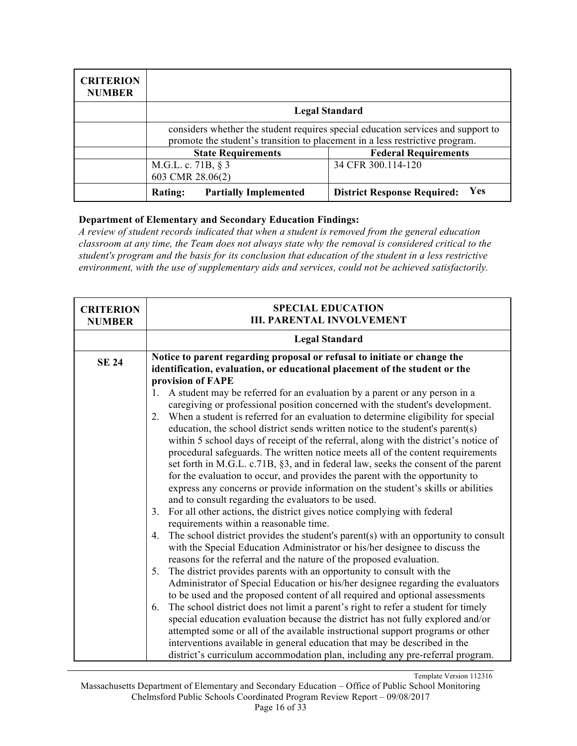| <b>CRITERION</b><br><b>NUMBER</b> |                                                                                                                                                                  |                                           |
|-----------------------------------|------------------------------------------------------------------------------------------------------------------------------------------------------------------|-------------------------------------------|
|                                   |                                                                                                                                                                  | <b>Legal Standard</b>                     |
|                                   | considers whether the student requires special education services and support to<br>promote the student's transition to placement in a less restrictive program. |                                           |
|                                   | <b>Federal Requirements</b><br><b>State Requirements</b>                                                                                                         |                                           |
|                                   | M.G.L. c. 71B, § 3<br>603 CMR 28.06(2)                                                                                                                           | 34 CFR 300.114-120                        |
|                                   | <b>Rating:</b><br><b>Partially Implemented</b>                                                                                                                   | Yes<br><b>District Response Required:</b> |

*A review of student records indicated that when a student is removed from the general education classroom at any time, the Team does not always state why the removal is considered critical to the student's program and the basis for its conclusion that education of the student in a less restrictive environment, with the use of supplementary aids and services, could not be achieved satisfactorily.*

| <b>CRITERION</b><br><b>NUMBER</b> | <b>SPECIAL EDUCATION</b><br><b>III. PARENTAL INVOLVEMENT</b>                                                                                                           |
|-----------------------------------|------------------------------------------------------------------------------------------------------------------------------------------------------------------------|
|                                   | <b>Legal Standard</b>                                                                                                                                                  |
| <b>SE 24</b>                      | Notice to parent regarding proposal or refusal to initiate or change the<br>identification, evaluation, or educational placement of the student or the                 |
|                                   | provision of FAPE                                                                                                                                                      |
|                                   | A student may be referred for an evaluation by a parent or any person in a<br>$\mathbf{1}_{\cdot}$                                                                     |
|                                   | caregiving or professional position concerned with the student's development.                                                                                          |
|                                   | When a student is referred for an evaluation to determine eligibility for special<br>2.                                                                                |
|                                   | education, the school district sends written notice to the student's parent(s)<br>within 5 school days of receipt of the referral, along with the district's notice of |
|                                   | procedural safeguards. The written notice meets all of the content requirements                                                                                        |
|                                   | set forth in M.G.L. c.71B, §3, and in federal law, seeks the consent of the parent                                                                                     |
|                                   | for the evaluation to occur, and provides the parent with the opportunity to                                                                                           |
|                                   | express any concerns or provide information on the student's skills or abilities                                                                                       |
|                                   | and to consult regarding the evaluators to be used.                                                                                                                    |
|                                   | For all other actions, the district gives notice complying with federal<br>3.                                                                                          |
|                                   | requirements within a reasonable time.                                                                                                                                 |
|                                   | The school district provides the student's parent(s) with an opportunity to consult<br>4.                                                                              |
|                                   | with the Special Education Administrator or his/her designee to discuss the                                                                                            |
|                                   | reasons for the referral and the nature of the proposed evaluation.<br>The district provides parents with an opportunity to consult with the<br>5.                     |
|                                   | Administrator of Special Education or his/her designee regarding the evaluators                                                                                        |
|                                   | to be used and the proposed content of all required and optional assessments                                                                                           |
|                                   | The school district does not limit a parent's right to refer a student for timely<br>6.                                                                                |
|                                   | special education evaluation because the district has not fully explored and/or                                                                                        |
|                                   | attempted some or all of the available instructional support programs or other                                                                                         |
|                                   | interventions available in general education that may be described in the                                                                                              |
|                                   | district's curriculum accommodation plan, including any pre-referral program.                                                                                          |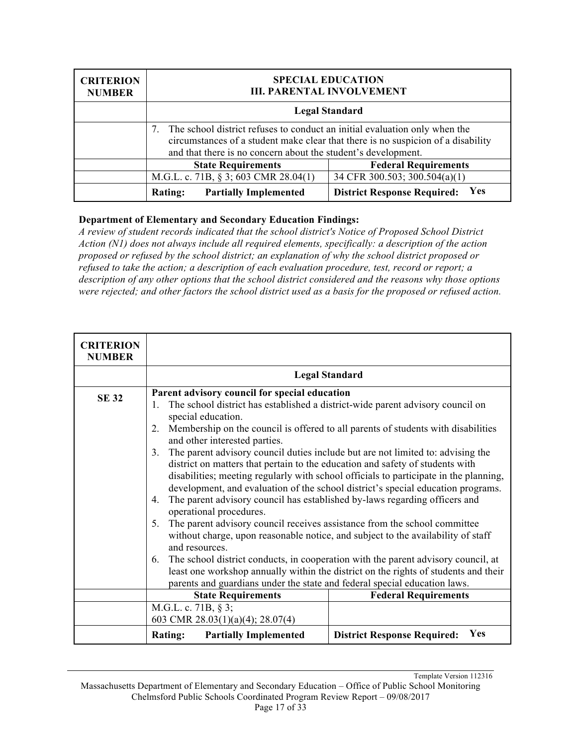| <b>CRITERION</b><br><b>NUMBER</b> | <b>SPECIAL EDUCATION</b><br><b>III. PARENTAL INVOLVEMENT</b>                                                                                                                                                                    |                                           |
|-----------------------------------|---------------------------------------------------------------------------------------------------------------------------------------------------------------------------------------------------------------------------------|-------------------------------------------|
|                                   | <b>Legal Standard</b>                                                                                                                                                                                                           |                                           |
|                                   | The school district refuses to conduct an initial evaluation only when the<br>circumstances of a student make clear that there is no suspicion of a disability<br>and that there is no concern about the student's development. |                                           |
|                                   | <b>Federal Requirements</b><br><b>State Requirements</b>                                                                                                                                                                        |                                           |
|                                   | M.G.L. c. 71B, § 3; 603 CMR 28.04(1)                                                                                                                                                                                            | 34 CFR 300.503; 300.504(a)(1)             |
|                                   | <b>Partially Implemented</b><br><b>Rating:</b>                                                                                                                                                                                  | Yes<br><b>District Response Required:</b> |

*A review of student records indicated that the school district's Notice of Proposed School District Action (N1) does not always include all required elements, specifically: a description of the action proposed or refused by the school district; an explanation of why the school district proposed or refused to take the action; a description of each evaluation procedure, test, record or report; a description of any other options that the school district considered and the reasons why those options were rejected; and other factors the school district used as a basis for the proposed or refused action.*

| <b>CRITERION</b><br><b>NUMBER</b> |                                                                                                                                                                                                                                                                                                                                                                                                                                                                                                                            |                                                                                                                                                                                                                                                                                                                                                                                                                                                                                                                                                                                                                                                                                                     |
|-----------------------------------|----------------------------------------------------------------------------------------------------------------------------------------------------------------------------------------------------------------------------------------------------------------------------------------------------------------------------------------------------------------------------------------------------------------------------------------------------------------------------------------------------------------------------|-----------------------------------------------------------------------------------------------------------------------------------------------------------------------------------------------------------------------------------------------------------------------------------------------------------------------------------------------------------------------------------------------------------------------------------------------------------------------------------------------------------------------------------------------------------------------------------------------------------------------------------------------------------------------------------------------------|
|                                   |                                                                                                                                                                                                                                                                                                                                                                                                                                                                                                                            | <b>Legal Standard</b>                                                                                                                                                                                                                                                                                                                                                                                                                                                                                                                                                                                                                                                                               |
| <b>SE 32</b>                      | Parent advisory council for special education<br>$\mathbf{1}$ .<br>special education.<br>2.<br>and other interested parties.<br>3.<br>district on matters that pertain to the education and safety of students with<br>The parent advisory council has established by-laws regarding officers and<br>4.<br>operational procedures.<br>The parent advisory council receives assistance from the school committee<br>5.<br>and resources.<br>6.<br>parents and guardians under the state and federal special education laws. | The school district has established a district-wide parent advisory council on<br>Membership on the council is offered to all parents of students with disabilities<br>The parent advisory council duties include but are not limited to: advising the<br>disabilities; meeting regularly with school officials to participate in the planning,<br>development, and evaluation of the school district's special education programs.<br>without charge, upon reasonable notice, and subject to the availability of staff<br>The school district conducts, in cooperation with the parent advisory council, at<br>least one workshop annually within the district on the rights of students and their |
|                                   | <b>State Requirements</b>                                                                                                                                                                                                                                                                                                                                                                                                                                                                                                  | <b>Federal Requirements</b>                                                                                                                                                                                                                                                                                                                                                                                                                                                                                                                                                                                                                                                                         |
|                                   | M.G.L. c. 71B, § 3;<br>603 CMR 28.03(1)(a)(4); 28.07(4)                                                                                                                                                                                                                                                                                                                                                                                                                                                                    |                                                                                                                                                                                                                                                                                                                                                                                                                                                                                                                                                                                                                                                                                                     |
|                                   | <b>Rating:</b><br><b>Partially Implemented</b>                                                                                                                                                                                                                                                                                                                                                                                                                                                                             | Yes<br><b>District Response Required:</b>                                                                                                                                                                                                                                                                                                                                                                                                                                                                                                                                                                                                                                                           |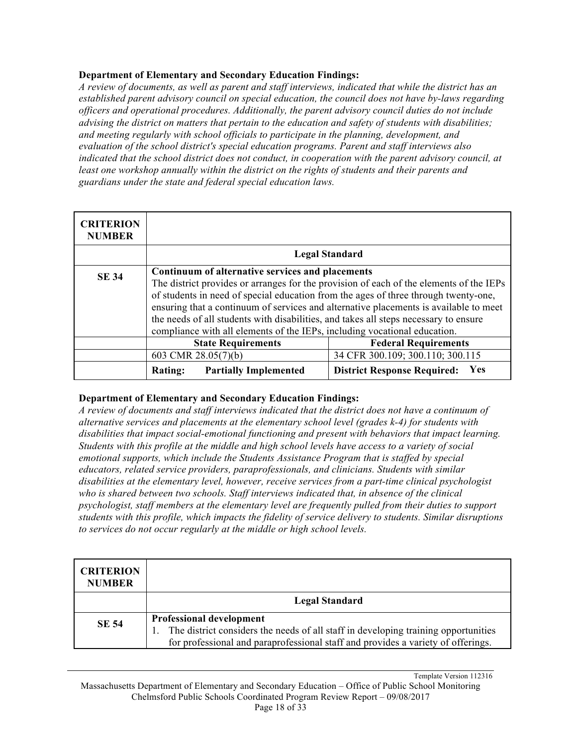*A review of documents, as well as parent and staff interviews, indicated that while the district has an established parent advisory council on special education, the council does not have by-laws regarding officers and operational procedures. Additionally, the parent advisory council duties do not include advising the district on matters that pertain to the education and safety of students with disabilities; and meeting regularly with school officials to participate in the planning, development, and evaluation of the school district's special education programs. Parent and staff interviews also indicated that the school district does not conduct, in cooperation with the parent advisory council, at*  least one workshop annually within the district on the rights of students and their parents and *guardians under the state and federal special education laws.*

| <b>CRITERION</b><br><b>NUMBER</b> |                                                                                                                                                                                                                                                                                                                                                                                                                                                                                                  |                                           |
|-----------------------------------|--------------------------------------------------------------------------------------------------------------------------------------------------------------------------------------------------------------------------------------------------------------------------------------------------------------------------------------------------------------------------------------------------------------------------------------------------------------------------------------------------|-------------------------------------------|
|                                   |                                                                                                                                                                                                                                                                                                                                                                                                                                                                                                  | <b>Legal Standard</b>                     |
| <b>SE 34</b>                      | Continuum of alternative services and placements<br>The district provides or arranges for the provision of each of the elements of the IEPs<br>of students in need of special education from the ages of three through twenty-one,<br>ensuring that a continuum of services and alternative placements is available to meet<br>the needs of all students with disabilities, and takes all steps necessary to ensure<br>compliance with all elements of the IEPs, including vocational education. |                                           |
|                                   | <b>State Requirements</b>                                                                                                                                                                                                                                                                                                                                                                                                                                                                        | <b>Federal Requirements</b>               |
|                                   | 603 CMR 28.05(7)(b)                                                                                                                                                                                                                                                                                                                                                                                                                                                                              | 34 CFR 300.109; 300.110; 300.115          |
|                                   | <b>Partially Implemented</b><br><b>Rating:</b>                                                                                                                                                                                                                                                                                                                                                                                                                                                   | Yes<br><b>District Response Required:</b> |

#### **Department of Elementary and Secondary Education Findings:**

*A review of documents and staff interviews indicated that the district does not have a continuum of alternative services and placements at the elementary school level (grades k-4) for students with disabilities that impact social-emotional functioning and present with behaviors that impact learning. Students with this profile at the middle and high school levels have access to a variety of social emotional supports, which include the Students Assistance Program that is staffed by special educators, related service providers, paraprofessionals, and clinicians. Students with similar disabilities at the elementary level, however, receive services from a part-time clinical psychologist who is shared between two schools. Staff interviews indicated that, in absence of the clinical psychologist, staff members at the elementary level are frequently pulled from their duties to support students with this profile, which impacts the fidelity of service delivery to students. Similar disruptions to services do not occur regularly at the middle or high school levels.*

| <b>CRITERION</b><br><b>NUMBER</b> |                                                                                                                                                                                                           |
|-----------------------------------|-----------------------------------------------------------------------------------------------------------------------------------------------------------------------------------------------------------|
|                                   | <b>Legal Standard</b>                                                                                                                                                                                     |
| <b>SE 54</b>                      | <b>Professional development</b><br>The district considers the needs of all staff in developing training opportunities<br>for professional and paraprofessional staff and provides a variety of offerings. |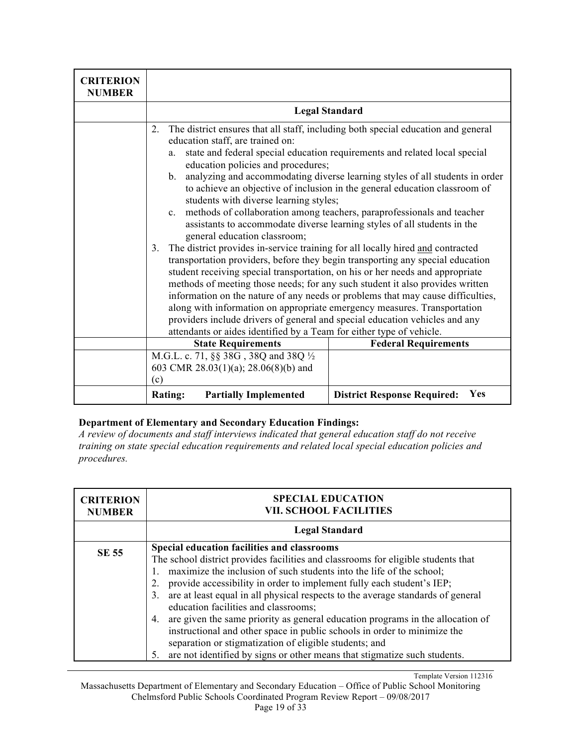| <b>CRITERION</b><br><b>NUMBER</b> |                                                                                                                                                                                                                                                                                                                                                                                                                                                                                                                                                                                                                                                       |                                                                                                                                                                                                                                                                                                                                                                                                                                                                                                                                                                                                                                                                    |
|-----------------------------------|-------------------------------------------------------------------------------------------------------------------------------------------------------------------------------------------------------------------------------------------------------------------------------------------------------------------------------------------------------------------------------------------------------------------------------------------------------------------------------------------------------------------------------------------------------------------------------------------------------------------------------------------------------|--------------------------------------------------------------------------------------------------------------------------------------------------------------------------------------------------------------------------------------------------------------------------------------------------------------------------------------------------------------------------------------------------------------------------------------------------------------------------------------------------------------------------------------------------------------------------------------------------------------------------------------------------------------------|
|                                   |                                                                                                                                                                                                                                                                                                                                                                                                                                                                                                                                                                                                                                                       | <b>Legal Standard</b>                                                                                                                                                                                                                                                                                                                                                                                                                                                                                                                                                                                                                                              |
|                                   | 2.<br>education staff, are trained on:<br>a.<br>education policies and procedures;<br>students with diverse learning styles;<br>c. methods of collaboration among teachers, paraprofessionals and teacher<br>general education classroom;<br>The district provides in-service training for all locally hired and contracted<br>3.<br>student receiving special transportation, on his or her needs and appropriate<br>along with information on appropriate emergency measures. Transportation<br>providers include drivers of general and special education vehicles and any<br>attendants or aides identified by a Team for either type of vehicle. | The district ensures that all staff, including both special education and general<br>state and federal special education requirements and related local special<br>b. analyzing and accommodating diverse learning styles of all students in order<br>to achieve an objective of inclusion in the general education classroom of<br>assistants to accommodate diverse learning styles of all students in the<br>transportation providers, before they begin transporting any special education<br>methods of meeting those needs; for any such student it also provides written<br>information on the nature of any needs or problems that may cause difficulties, |
|                                   | <b>State Requirements</b><br><b>Federal Requirements</b>                                                                                                                                                                                                                                                                                                                                                                                                                                                                                                                                                                                              |                                                                                                                                                                                                                                                                                                                                                                                                                                                                                                                                                                                                                                                                    |
|                                   | M.G.L. c. 71, §§ 38G, 38Q and 38Q 1/2<br>603 CMR 28.03(1)(a); 28.06(8)(b) and<br>(c)                                                                                                                                                                                                                                                                                                                                                                                                                                                                                                                                                                  |                                                                                                                                                                                                                                                                                                                                                                                                                                                                                                                                                                                                                                                                    |
|                                   | <b>Partially Implemented</b><br><b>Rating:</b>                                                                                                                                                                                                                                                                                                                                                                                                                                                                                                                                                                                                        | Yes<br><b>District Response Required:</b>                                                                                                                                                                                                                                                                                                                                                                                                                                                                                                                                                                                                                          |

*A review of documents and staff interviews indicated that general education staff do not receive training on state special education requirements and related local special education policies and procedures.* 

| <b>CRITERION</b><br><b>NUMBER</b> | <b>SPECIAL EDUCATION</b><br><b>VII. SCHOOL FACILITIES</b>                                                                                                                                                                                                                                                                                                                                                                                                                                                                                                                                                                                                                                                                                 |
|-----------------------------------|-------------------------------------------------------------------------------------------------------------------------------------------------------------------------------------------------------------------------------------------------------------------------------------------------------------------------------------------------------------------------------------------------------------------------------------------------------------------------------------------------------------------------------------------------------------------------------------------------------------------------------------------------------------------------------------------------------------------------------------------|
|                                   | <b>Legal Standard</b>                                                                                                                                                                                                                                                                                                                                                                                                                                                                                                                                                                                                                                                                                                                     |
| <b>SE 55</b>                      | Special education facilities and classrooms<br>The school district provides facilities and classrooms for eligible students that<br>maximize the inclusion of such students into the life of the school;<br>provide accessibility in order to implement fully each student's IEP;<br>2.<br>are at least equal in all physical respects to the average standards of general<br>3.<br>education facilities and classrooms;<br>are given the same priority as general education programs in the allocation of<br>4.<br>instructional and other space in public schools in order to minimize the<br>separation or stigmatization of eligible students; and<br>are not identified by signs or other means that stigmatize such students.<br>5. |

Template Version 112316 Massachusetts Department of Elementary and Secondary Education – Office of Public School Monitoring Chelmsford Public Schools Coordinated Program Review Report – 09/08/2017 Page 19 of 33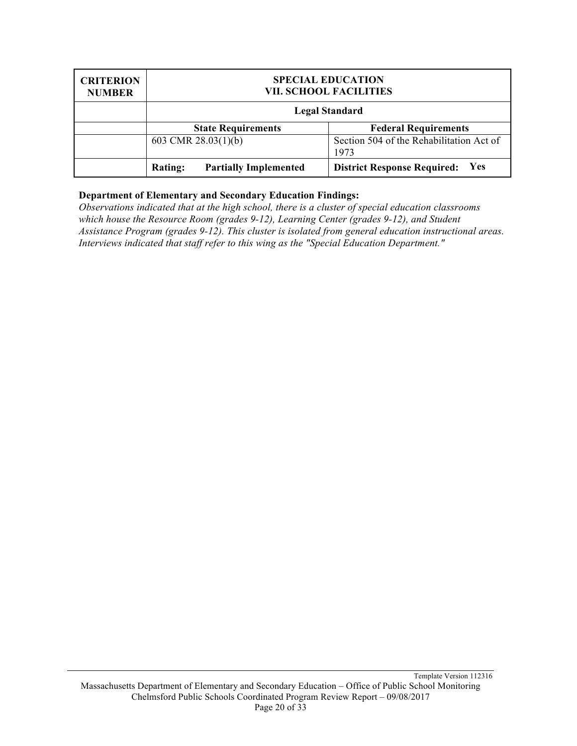| <b>CRITERION</b><br><b>NUMBER</b> | <b>SPECIAL EDUCATION</b><br><b>VII. SCHOOL FACILITIES</b> |                                                  |
|-----------------------------------|-----------------------------------------------------------|--------------------------------------------------|
|                                   | <b>Legal Standard</b>                                     |                                                  |
|                                   | <b>State Requirements</b><br><b>Federal Requirements</b>  |                                                  |
|                                   | 603 CMR $28.03(1)(b)$                                     | Section 504 of the Rehabilitation Act of<br>1973 |
|                                   | <b>Partially Implemented</b><br><b>Rating:</b>            | <b>Yes</b><br><b>District Response Required:</b> |

*Observations indicated that at the high school, there is a cluster of special education classrooms which house the Resource Room (grades 9-12), Learning Center (grades 9-12), and Student Assistance Program (grades 9-12). This cluster is isolated from general education instructional areas. Interviews indicated that staff refer to this wing as the "Special Education Department."*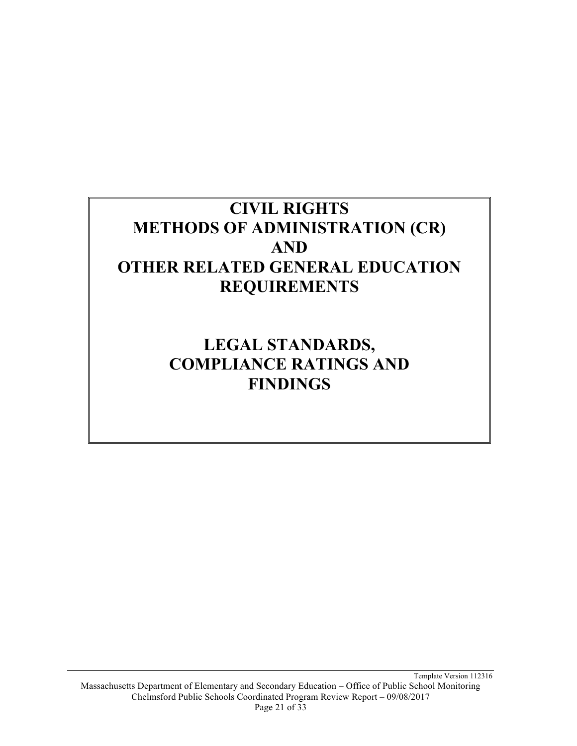## **CIVIL RIGHTS METHODS OF ADMINISTRATION (CR) AND OTHER RELATED GENERAL EDUCATION REQUIREMENTS**

**LEGAL STANDARDS, COMPLIANCE RATINGS AND FINDINGS**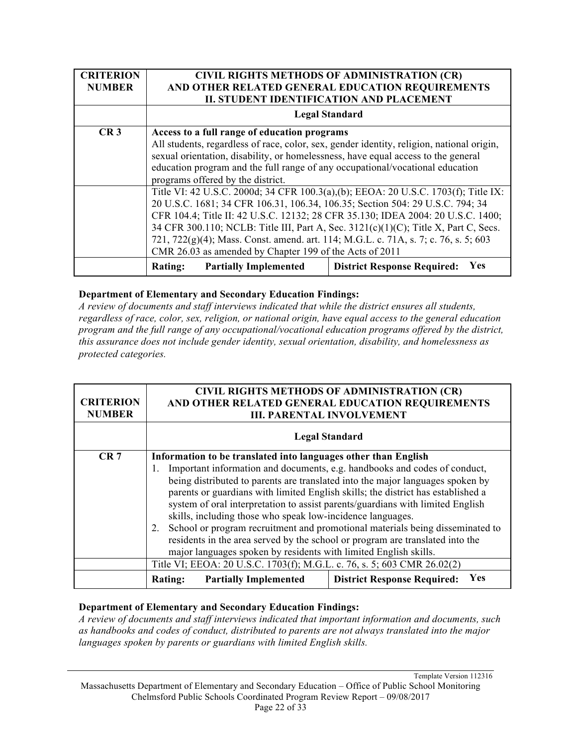| <b>CRITERION</b><br><b>NUMBER</b> | <b>CIVIL RIGHTS METHODS OF ADMINISTRATION (CR)</b><br>AND OTHER RELATED GENERAL EDUCATION REQUIREMENTS<br><b>II. STUDENT IDENTIFICATION AND PLACEMENT</b> |  |
|-----------------------------------|-----------------------------------------------------------------------------------------------------------------------------------------------------------|--|
|                                   | <b>Legal Standard</b>                                                                                                                                     |  |
| CR <sub>3</sub>                   | Access to a full range of education programs                                                                                                              |  |
|                                   | All students, regardless of race, color, sex, gender identity, religion, national origin,                                                                 |  |
|                                   | sexual orientation, disability, or homelessness, have equal access to the general                                                                         |  |
|                                   | education program and the full range of any occupational/vocational education                                                                             |  |
|                                   | programs offered by the district.                                                                                                                         |  |
|                                   | Title VI: 42 U.S.C. 2000d; 34 CFR 100.3(a),(b); EEOA: 20 U.S.C. 1703(f); Title IX:                                                                        |  |
|                                   | 20 U.S.C. 1681; 34 CFR 106.31, 106.34, 106.35; Section 504: 29 U.S.C. 794; 34                                                                             |  |
|                                   | CFR 104.4; Title II: 42 U.S.C. 12132; 28 CFR 35.130; IDEA 2004: 20 U.S.C. 1400;                                                                           |  |
|                                   | 34 CFR 300.110; NCLB: Title III, Part A, Sec. 3121(c)(1)(C); Title X, Part C, Secs.                                                                       |  |
|                                   | 721, 722(g)(4); Mass. Const. amend. art. 114; M.G.L. c. 71A, s. 7; c. 76, s. 5; 603                                                                       |  |
|                                   | CMR 26.03 as amended by Chapter 199 of the Acts of 2011                                                                                                   |  |
|                                   | Yes<br><b>District Response Required:</b><br><b>Partially Implemented</b><br><b>Rating:</b>                                                               |  |

*A review of documents and staff interviews indicated that while the district ensures all students, regardless of race, color, sex, religion, or national origin, have equal access to the general education program and the full range of any occupational/vocational education programs offered by the district, this assurance does not include gender identity, sexual orientation, disability, and homelessness as protected categories.*

| <b>CRITERION</b><br><b>NUMBER</b> | CIVIL RIGHTS METHODS OF ADMINISTRATION (CR)<br>AND OTHER RELATED GENERAL EDUCATION REQUIREMENTS<br><b>III. PARENTAL INVOLVEMENT</b>                                                                                                                                                                                                                                                                                                                                                                                                                                                                                                                                                                                 |                                           |
|-----------------------------------|---------------------------------------------------------------------------------------------------------------------------------------------------------------------------------------------------------------------------------------------------------------------------------------------------------------------------------------------------------------------------------------------------------------------------------------------------------------------------------------------------------------------------------------------------------------------------------------------------------------------------------------------------------------------------------------------------------------------|-------------------------------------------|
|                                   |                                                                                                                                                                                                                                                                                                                                                                                                                                                                                                                                                                                                                                                                                                                     | <b>Legal Standard</b>                     |
| CR <sub>7</sub>                   |                                                                                                                                                                                                                                                                                                                                                                                                                                                                                                                                                                                                                                                                                                                     |                                           |
|                                   | Information to be translated into languages other than English<br>Important information and documents, e.g. handbooks and codes of conduct,<br>1.<br>being distributed to parents are translated into the major languages spoken by<br>parents or guardians with limited English skills; the district has established a<br>system of oral interpretation to assist parents/guardians with limited English<br>skills, including those who speak low-incidence languages.<br>School or program recruitment and promotional materials being disseminated to<br>2.<br>residents in the area served by the school or program are translated into the<br>major languages spoken by residents with limited English skills. |                                           |
|                                   | Title VI; EEOA: 20 U.S.C. 1703(f); M.G.L. c. 76, s. 5; 603 CMR 26.02(2)                                                                                                                                                                                                                                                                                                                                                                                                                                                                                                                                                                                                                                             |                                           |
|                                   | <b>Partially Implemented</b><br><b>Rating:</b>                                                                                                                                                                                                                                                                                                                                                                                                                                                                                                                                                                                                                                                                      | Yes<br><b>District Response Required:</b> |

#### **Department of Elementary and Secondary Education Findings:**

*A review of documents and staff interviews indicated that important information and documents, such as handbooks and codes of conduct, distributed to parents are not always translated into the major languages spoken by parents or guardians with limited English skills.*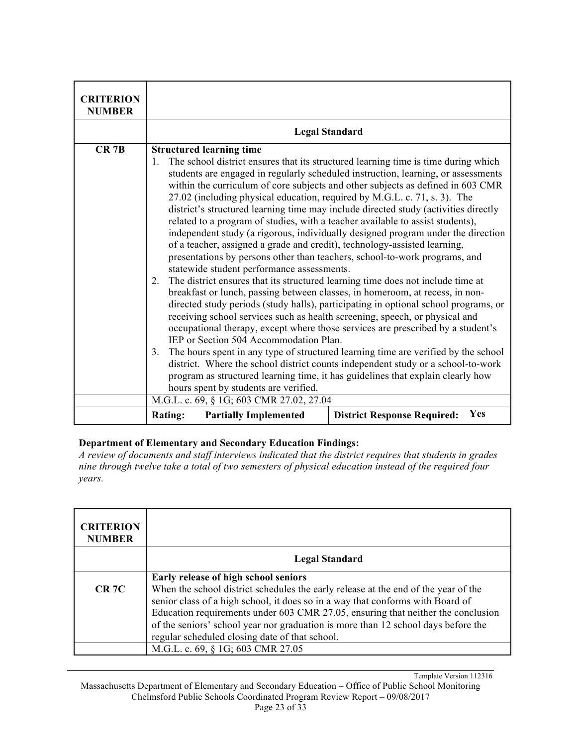| <b>CRITERION</b> |                                                                                                                                                                                                                                                                                                                                                                                                                                                                                                                                                                                                                                                                                                                                                                                                                                                                                                              |                                                                                                                                                                     |
|------------------|--------------------------------------------------------------------------------------------------------------------------------------------------------------------------------------------------------------------------------------------------------------------------------------------------------------------------------------------------------------------------------------------------------------------------------------------------------------------------------------------------------------------------------------------------------------------------------------------------------------------------------------------------------------------------------------------------------------------------------------------------------------------------------------------------------------------------------------------------------------------------------------------------------------|---------------------------------------------------------------------------------------------------------------------------------------------------------------------|
| <b>NUMBER</b>    |                                                                                                                                                                                                                                                                                                                                                                                                                                                                                                                                                                                                                                                                                                                                                                                                                                                                                                              |                                                                                                                                                                     |
|                  |                                                                                                                                                                                                                                                                                                                                                                                                                                                                                                                                                                                                                                                                                                                                                                                                                                                                                                              | <b>Legal Standard</b>                                                                                                                                               |
| $CR$ 7B          | <b>Structured learning time</b>                                                                                                                                                                                                                                                                                                                                                                                                                                                                                                                                                                                                                                                                                                                                                                                                                                                                              |                                                                                                                                                                     |
|                  | The school district ensures that its structured learning time is time during which<br>1.<br>students are engaged in regularly scheduled instruction, learning, or assessments<br>within the curriculum of core subjects and other subjects as defined in 603 CMR<br>27.02 (including physical education, required by M.G.L. c. 71, s. 3). The<br>district's structured learning time may include directed study (activities directly<br>related to a program of studies, with a teacher available to assist students),<br>independent study (a rigorous, individually designed program under the direction<br>of a teacher, assigned a grade and credit), technology-assisted learning,<br>presentations by persons other than teachers, school-to-work programs, and<br>statewide student performance assessments.<br>The district ensures that its structured learning time does not include time at<br>2. |                                                                                                                                                                     |
|                  | breakfast or lunch, passing between classes, in homeroom, at recess, in non-<br>directed study periods (study halls), participating in optional school programs, or<br>receiving school services such as health screening, speech, or physical and<br>occupational therapy, except where those services are prescribed by a student's<br>IEP or Section 504 Accommodation Plan.<br>The hours spent in any type of structured learning time are verified by the school<br>3.                                                                                                                                                                                                                                                                                                                                                                                                                                  |                                                                                                                                                                     |
|                  | hours spent by students are verified.                                                                                                                                                                                                                                                                                                                                                                                                                                                                                                                                                                                                                                                                                                                                                                                                                                                                        | district. Where the school district counts independent study or a school-to-work<br>program as structured learning time, it has guidelines that explain clearly how |
|                  | M.G.L. c. 69, § 1G; 603 CMR 27.02, 27.04                                                                                                                                                                                                                                                                                                                                                                                                                                                                                                                                                                                                                                                                                                                                                                                                                                                                     |                                                                                                                                                                     |
|                  | <b>Rating:</b><br><b>Partially Implemented</b>                                                                                                                                                                                                                                                                                                                                                                                                                                                                                                                                                                                                                                                                                                                                                                                                                                                               | Yes<br><b>District Response Required:</b>                                                                                                                           |

*A review of documents and staff interviews indicated that the district requires that students in grades nine through twelve take a total of two semesters of physical education instead of the required four years.*

| <b>CRITERION</b><br><b>NUMBER</b> |                                                                                                                                                                                                                                                                                                                                                                                                 |
|-----------------------------------|-------------------------------------------------------------------------------------------------------------------------------------------------------------------------------------------------------------------------------------------------------------------------------------------------------------------------------------------------------------------------------------------------|
|                                   | <b>Legal Standard</b>                                                                                                                                                                                                                                                                                                                                                                           |
|                                   | Early release of high school seniors                                                                                                                                                                                                                                                                                                                                                            |
| <b>CR 7C</b>                      | When the school district schedules the early release at the end of the year of the<br>senior class of a high school, it does so in a way that conforms with Board of<br>Education requirements under 603 CMR 27.05, ensuring that neither the conclusion<br>of the seniors' school year nor graduation is more than 12 school days before the<br>regular scheduled closing date of that school. |
|                                   | M.G.L. c. 69, § 1G; 603 CMR 27.05                                                                                                                                                                                                                                                                                                                                                               |

Template Version 112316 Massachusetts Department of Elementary and Secondary Education – Office of Public School Monitoring Chelmsford Public Schools Coordinated Program Review Report – 09/08/2017 Page 23 of 33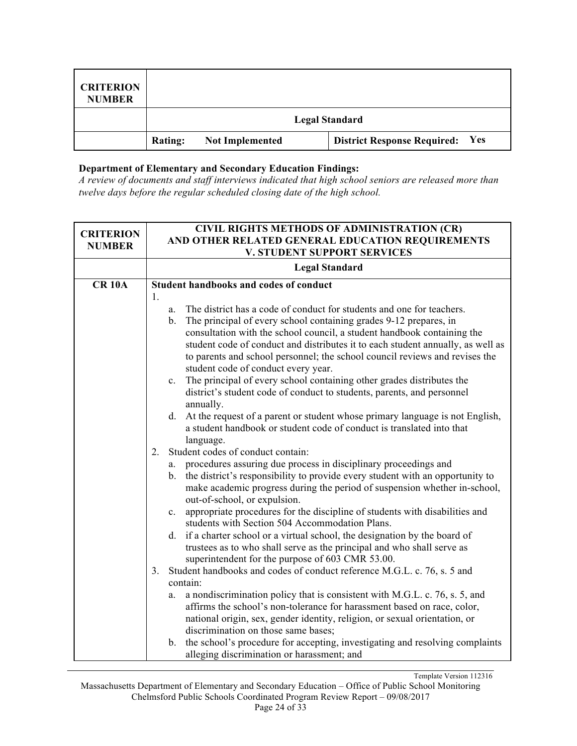| <b>CRITERION</b><br><b>NUMBER</b> |                |                        |                                           |
|-----------------------------------|----------------|------------------------|-------------------------------------------|
|                                   |                |                        | <b>Legal Standard</b>                     |
|                                   | <b>Rating:</b> | <b>Not Implemented</b> | Yes<br><b>District Response Required:</b> |

*A review of documents and staff interviews indicated that high school seniors are released more than twelve days before the regular scheduled closing date of the high school.*

| <b>CRITERION</b><br><b>NUMBER</b> | <b>CIVIL RIGHTS METHODS OF ADMINISTRATION (CR)</b><br>AND OTHER RELATED GENERAL EDUCATION REQUIREMENTS<br><b>V. STUDENT SUPPORT SERVICES</b>                              |  |
|-----------------------------------|---------------------------------------------------------------------------------------------------------------------------------------------------------------------------|--|
|                                   | <b>Legal Standard</b>                                                                                                                                                     |  |
| <b>CR 10A</b>                     | <b>Student handbooks and codes of conduct</b>                                                                                                                             |  |
|                                   | 1.<br>The district has a code of conduct for students and one for teachers.                                                                                               |  |
|                                   | a.<br>The principal of every school containing grades 9-12 prepares, in<br>$\mathbf{b}$                                                                                   |  |
|                                   | consultation with the school council, a student handbook containing the                                                                                                   |  |
|                                   | student code of conduct and distributes it to each student annually, as well as                                                                                           |  |
|                                   | to parents and school personnel; the school council reviews and revises the                                                                                               |  |
|                                   | student code of conduct every year.                                                                                                                                       |  |
|                                   | The principal of every school containing other grades distributes the<br>$c_{\cdot}$                                                                                      |  |
|                                   | district's student code of conduct to students, parents, and personnel<br>annually.                                                                                       |  |
|                                   | d. At the request of a parent or student whose primary language is not English,                                                                                           |  |
|                                   | a student handbook or student code of conduct is translated into that                                                                                                     |  |
|                                   | language.                                                                                                                                                                 |  |
|                                   | Student codes of conduct contain:<br>2.                                                                                                                                   |  |
|                                   | procedures assuring due process in disciplinary proceedings and<br>a.                                                                                                     |  |
|                                   | the district's responsibility to provide every student with an opportunity to<br>$b_{\cdot}$<br>make academic progress during the period of suspension whether in-school, |  |
|                                   | out-of-school, or expulsion.                                                                                                                                              |  |
|                                   | appropriate procedures for the discipline of students with disabilities and<br>$c_{\cdot}$                                                                                |  |
|                                   | students with Section 504 Accommodation Plans.                                                                                                                            |  |
|                                   | if a charter school or a virtual school, the designation by the board of<br>d.                                                                                            |  |
|                                   | trustees as to who shall serve as the principal and who shall serve as                                                                                                    |  |
|                                   | superintendent for the purpose of 603 CMR 53.00.                                                                                                                          |  |
|                                   | Student handbooks and codes of conduct reference M.G.L. c. 76, s. 5 and<br>3 <sub>1</sub><br>contain:                                                                     |  |
|                                   | a nondiscrimination policy that is consistent with M.G.L. c. 76, s. 5, and<br>a.                                                                                          |  |
|                                   | affirms the school's non-tolerance for harassment based on race, color,                                                                                                   |  |
|                                   | national origin, sex, gender identity, religion, or sexual orientation, or                                                                                                |  |
|                                   | discrimination on those same bases;                                                                                                                                       |  |
|                                   | the school's procedure for accepting, investigating and resolving complaints<br>b.                                                                                        |  |
|                                   | alleging discrimination or harassment; and                                                                                                                                |  |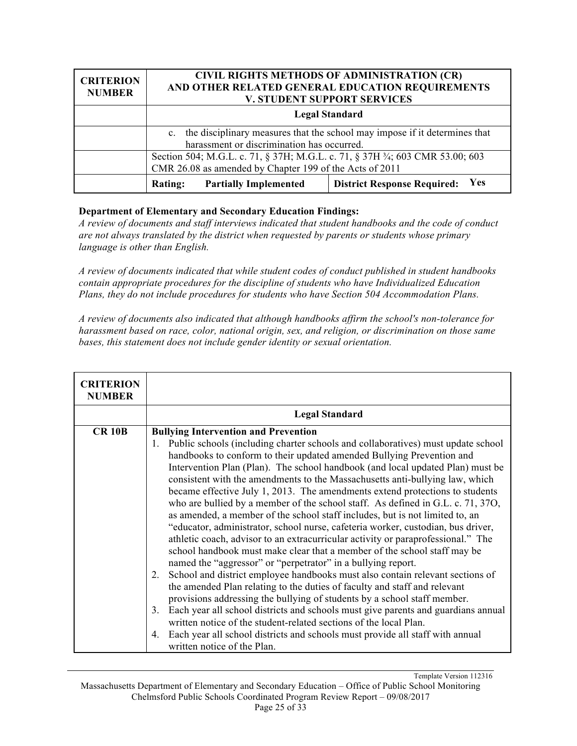| <b>CRITERION</b><br><b>NUMBER</b> | <b>CIVIL RIGHTS METHODS OF ADMINISTRATION (CR)</b><br>AND OTHER RELATED GENERAL EDUCATION REQUIREMENTS<br><b>V. STUDENT SUPPORT SERVICES</b> |  |
|-----------------------------------|----------------------------------------------------------------------------------------------------------------------------------------------|--|
|                                   | <b>Legal Standard</b>                                                                                                                        |  |
|                                   | c. the disciplinary measures that the school may impose if it determines that<br>harassment or discrimination has occurred.                  |  |
|                                   | Section 504; M.G.L. c. 71, § 37H; M.G.L. c. 71, § 37H 3/4; 603 CMR 53.00; 603<br>CMR 26.08 as amended by Chapter 199 of the Acts of 2011     |  |
|                                   | <b>Yes</b><br><b>District Response Required:</b><br><b>Partially Implemented</b><br><b>Rating:</b>                                           |  |

*A review of documents and staff interviews indicated that student handbooks and the code of conduct are not always translated by the district when requested by parents or students whose primary language is other than English.*

*A review of documents indicated that while student codes of conduct published in student handbooks contain appropriate procedures for the discipline of students who have Individualized Education Plans, they do not include procedures for students who have Section 504 Accommodation Plans.*

*A review of documents also indicated that although handbooks affirm the school's non-tolerance for harassment based on race, color, national origin, sex, and religion, or discrimination on those same bases, this statement does not include gender identity or sexual orientation.*

| <b>CRITERION</b><br><b>NUMBER</b> |                                                                                                                                                                                                                                                                                                                                                                                                                                                                                                                                                                                                                                                                                                                                                                         |  |
|-----------------------------------|-------------------------------------------------------------------------------------------------------------------------------------------------------------------------------------------------------------------------------------------------------------------------------------------------------------------------------------------------------------------------------------------------------------------------------------------------------------------------------------------------------------------------------------------------------------------------------------------------------------------------------------------------------------------------------------------------------------------------------------------------------------------------|--|
|                                   | <b>Legal Standard</b>                                                                                                                                                                                                                                                                                                                                                                                                                                                                                                                                                                                                                                                                                                                                                   |  |
| <b>CR 10B</b>                     | <b>Bullying Intervention and Prevention</b><br>Public schools (including charter schools and collaboratives) must update school<br>1.<br>handbooks to conform to their updated amended Bullying Prevention and<br>Intervention Plan (Plan). The school handbook (and local updated Plan) must be<br>consistent with the amendments to the Massachusetts anti-bullying law, which<br>became effective July 1, 2013. The amendments extend protections to students<br>who are bullied by a member of the school staff. As defined in G.L. c. 71, 37O,<br>as amended, a member of the school staff includes, but is not limited to, an<br>"educator, administrator, school nurse, cafeteria worker, custodian, bus driver,                                                 |  |
|                                   | athletic coach, advisor to an extracurricular activity or paraprofessional." The<br>school handbook must make clear that a member of the school staff may be<br>named the "aggressor" or "perpetrator" in a bullying report.<br>School and district employee handbooks must also contain relevant sections of<br>2.<br>the amended Plan relating to the duties of faculty and staff and relevant<br>provisions addressing the bullying of students by a school staff member.<br>Each year all school districts and schools must give parents and guardians annual<br>$3_{-}$<br>written notice of the student-related sections of the local Plan.<br>Each year all school districts and schools must provide all staff with annual<br>4.<br>written notice of the Plan. |  |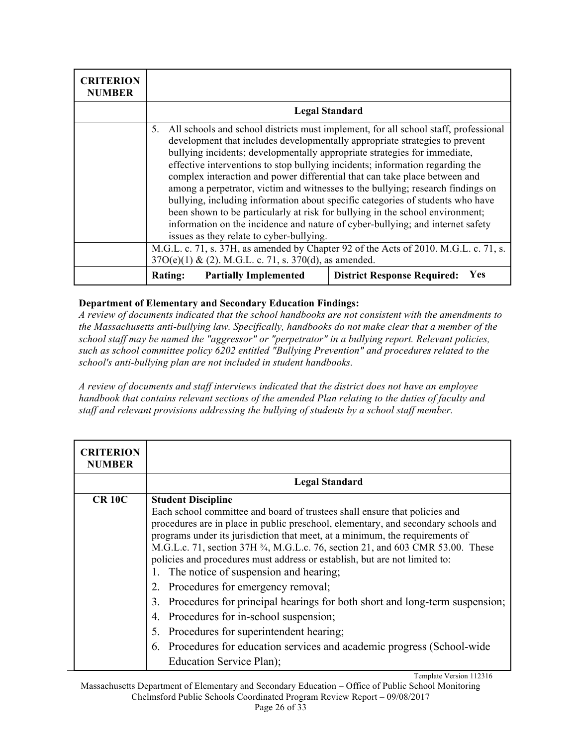| <b>CRITERION</b><br><b>NUMBER</b> |                                                                                                                                                                                                                                                                                                                                                                                                                                                                                                                                                                                                                                                                                                                                                                                                          |                                           |
|-----------------------------------|----------------------------------------------------------------------------------------------------------------------------------------------------------------------------------------------------------------------------------------------------------------------------------------------------------------------------------------------------------------------------------------------------------------------------------------------------------------------------------------------------------------------------------------------------------------------------------------------------------------------------------------------------------------------------------------------------------------------------------------------------------------------------------------------------------|-------------------------------------------|
|                                   | <b>Legal Standard</b>                                                                                                                                                                                                                                                                                                                                                                                                                                                                                                                                                                                                                                                                                                                                                                                    |                                           |
|                                   | All schools and school districts must implement, for all school staff, professional<br>5.<br>development that includes developmentally appropriate strategies to prevent<br>bullying incidents; developmentally appropriate strategies for immediate,<br>effective interventions to stop bullying incidents; information regarding the<br>complex interaction and power differential that can take place between and<br>among a perpetrator, victim and witnesses to the bullying; research findings on<br>bullying, including information about specific categories of students who have<br>been shown to be particularly at risk for bullying in the school environment;<br>information on the incidence and nature of cyber-bullying; and internet safety<br>issues as they relate to cyber-bullying. |                                           |
|                                   | M.G.L. c. 71, s. 37H, as amended by Chapter 92 of the Acts of 2010. M.G.L. c. 71, s.<br>$37O(e)(1)$ & (2). M.G.L. c. 71, s. 370(d), as amended.                                                                                                                                                                                                                                                                                                                                                                                                                                                                                                                                                                                                                                                          |                                           |
|                                   | <b>Rating:</b><br><b>Partially Implemented</b>                                                                                                                                                                                                                                                                                                                                                                                                                                                                                                                                                                                                                                                                                                                                                           | Yes<br><b>District Response Required:</b> |

*A review of documents indicated that the school handbooks are not consistent with the amendments to the Massachusetts anti-bullying law. Specifically, handbooks do not make clear that a member of the school staff may be named the "aggressor" or "perpetrator" in a bullying report. Relevant policies, such as school committee policy 6202 entitled "Bullying Prevention" and procedures related to the school's anti-bullying plan are not included in student handbooks.* 

*A review of documents and staff interviews indicated that the district does not have an employee handbook that contains relevant sections of the amended Plan relating to the duties of faculty and staff and relevant provisions addressing the bullying of students by a school staff member.*

| <b>CRITERION</b><br><b>NUMBER</b> |                                                                                                                                                                                                                                                                                                                                                                                                                                                                                                                                                                                                                                                                                                                                                                                                                    |
|-----------------------------------|--------------------------------------------------------------------------------------------------------------------------------------------------------------------------------------------------------------------------------------------------------------------------------------------------------------------------------------------------------------------------------------------------------------------------------------------------------------------------------------------------------------------------------------------------------------------------------------------------------------------------------------------------------------------------------------------------------------------------------------------------------------------------------------------------------------------|
|                                   | <b>Legal Standard</b>                                                                                                                                                                                                                                                                                                                                                                                                                                                                                                                                                                                                                                                                                                                                                                                              |
| <b>CR 10C</b>                     | <b>Student Discipline</b><br>Each school committee and board of trustees shall ensure that policies and<br>procedures are in place in public preschool, elementary, and secondary schools and<br>programs under its jurisdiction that meet, at a minimum, the requirements of<br>M.G.L.c. 71, section 37H 3/4, M.G.L.c. 76, section 21, and 603 CMR 53.00. These<br>policies and procedures must address or establish, but are not limited to:<br>The notice of suspension and hearing;<br>2. Procedures for emergency removal;<br>3. Procedures for principal hearings for both short and long-term suspension;<br>Procedures for in-school suspension;<br>4.<br>5. Procedures for superintendent hearing;<br>6. Procedures for education services and academic progress (School-wide<br>Education Service Plan); |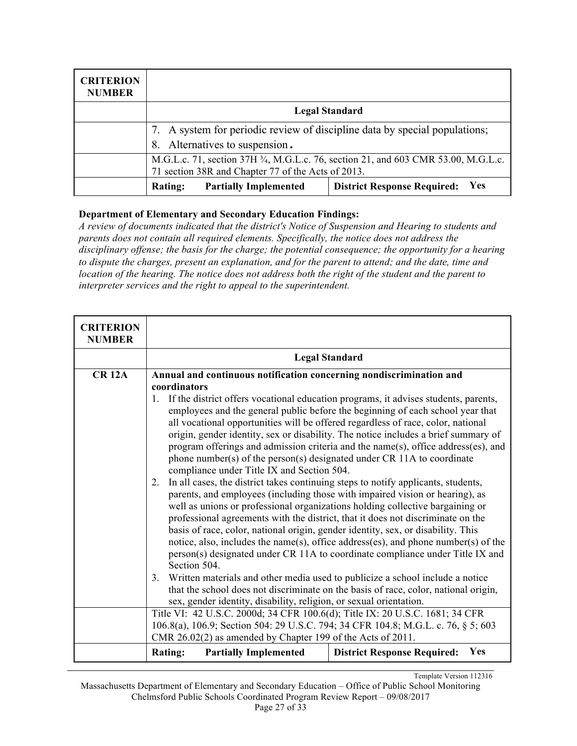| <b>CRITERION</b><br><b>NUMBER</b> |                                                                                                                                          |                                                  |  |
|-----------------------------------|------------------------------------------------------------------------------------------------------------------------------------------|--------------------------------------------------|--|
|                                   | <b>Legal Standard</b>                                                                                                                    |                                                  |  |
|                                   | 7. A system for periodic review of discipline data by special populations;                                                               |                                                  |  |
|                                   | Alternatives to suspension.<br>8.                                                                                                        |                                                  |  |
|                                   | M.G.L.c. 71, section 37H 3/4, M.G.L.c. 76, section 21, and 603 CMR 53.00, M.G.L.c.<br>71 section 38R and Chapter 77 of the Acts of 2013. |                                                  |  |
|                                   | <b>Partially Implemented</b><br><b>Rating:</b>                                                                                           | <b>Yes</b><br><b>District Response Required:</b> |  |

*A review of documents indicated that the district's Notice of Suspension and Hearing to students and parents does not contain all required elements. Specifically, the notice does not address the disciplinary offense; the basis for the charge; the potential consequence; the opportunity for a hearing to dispute the charges, present an explanation, and for the parent to attend; and the date, time and location of the hearing. The notice does not address both the right of the student and the parent to interpreter services and the right to appeal to the superintendent.*

| <b>CRITERION</b><br><b>NUMBER</b> |                                                                                        |                                                                                                                                                                         |  |
|-----------------------------------|----------------------------------------------------------------------------------------|-------------------------------------------------------------------------------------------------------------------------------------------------------------------------|--|
|                                   | <b>Legal Standard</b>                                                                  |                                                                                                                                                                         |  |
| <b>CR 12A</b>                     | Annual and continuous notification concerning nondiscrimination and                    |                                                                                                                                                                         |  |
|                                   | coordinators                                                                           |                                                                                                                                                                         |  |
|                                   | 1. If the district offers vocational education programs, it advises students, parents, |                                                                                                                                                                         |  |
|                                   | employees and the general public before the beginning of each school year that         |                                                                                                                                                                         |  |
|                                   | all vocational opportunities will be offered regardless of race, color, national       |                                                                                                                                                                         |  |
|                                   |                                                                                        | origin, gender identity, sex or disability. The notice includes a brief summary of                                                                                      |  |
|                                   |                                                                                        | program offerings and admission criteria and the name(s), office address(es), and                                                                                       |  |
|                                   | phone number(s) of the person(s) designated under CR 11A to coordinate                 |                                                                                                                                                                         |  |
|                                   | compliance under Title IX and Section 504.                                             |                                                                                                                                                                         |  |
|                                   |                                                                                        | In all cases, the district takes continuing steps to notify applicants, students,<br>2.<br>parents, and employees (including those with impaired vision or hearing), as |  |
|                                   | well as unions or professional organizations holding collective bargaining or          |                                                                                                                                                                         |  |
|                                   | professional agreements with the district, that it does not discriminate on the        |                                                                                                                                                                         |  |
|                                   |                                                                                        | basis of race, color, national origin, gender identity, sex, or disability. This                                                                                        |  |
|                                   | notice, also, includes the name(s), office address(es), and phone number(s) of the     |                                                                                                                                                                         |  |
|                                   | person(s) designated under CR 11A to coordinate compliance under Title IX and          |                                                                                                                                                                         |  |
|                                   | Section 504.                                                                           |                                                                                                                                                                         |  |
|                                   | Written materials and other media used to publicize a school include a notice<br>3.    |                                                                                                                                                                         |  |
|                                   | that the school does not discriminate on the basis of race, color, national origin,    |                                                                                                                                                                         |  |
|                                   | sex, gender identity, disability, religion, or sexual orientation.                     |                                                                                                                                                                         |  |
|                                   | Title VI: 42 U.S.C. 2000d; 34 CFR 100.6(d); Title IX: 20 U.S.C. 1681; 34 CFR           |                                                                                                                                                                         |  |
|                                   | 106.8(a), 106.9; Section 504: 29 U.S.C. 794; 34 CFR 104.8; M.G.L. c. 76, § 5; 603      |                                                                                                                                                                         |  |
|                                   | CMR 26.02(2) as amended by Chapter 199 of the Acts of 2011.                            |                                                                                                                                                                         |  |
|                                   | <b>Rating:</b><br><b>Partially Implemented</b>                                         | <b>Yes</b><br><b>District Response Required:</b>                                                                                                                        |  |

Template Version 112316

Massachusetts Department of Elementary and Secondary Education – Office of Public School Monitoring Chelmsford Public Schools Coordinated Program Review Report – 09/08/2017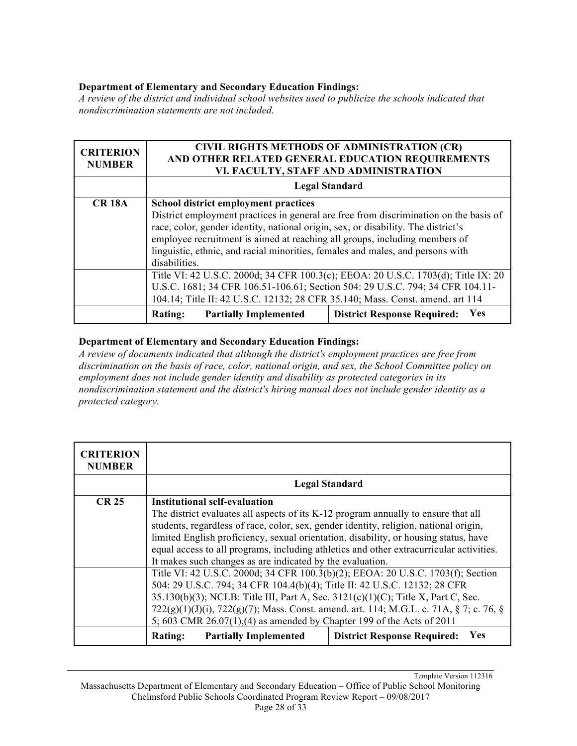*A review of the district and individual school websites used to publicize the schools indicated that nondiscrimination statements are not included.*

| <b>CRITERION</b><br><b>NUMBER</b> | <b>CIVIL RIGHTS METHODS OF ADMINISTRATION (CR)</b><br>AND OTHER RELATED GENERAL EDUCATION REQUIREMENTS<br>VI. FACULTY, STAFF AND ADMINISTRATION |                                                  |  |
|-----------------------------------|-------------------------------------------------------------------------------------------------------------------------------------------------|--------------------------------------------------|--|
|                                   | <b>Legal Standard</b>                                                                                                                           |                                                  |  |
| <b>CR 18A</b>                     | <b>School district employment practices</b>                                                                                                     |                                                  |  |
|                                   | District employment practices in general are free from discrimination on the basis of                                                           |                                                  |  |
|                                   | race, color, gender identity, national origin, sex, or disability. The district's                                                               |                                                  |  |
|                                   | employee recruitment is aimed at reaching all groups, including members of                                                                      |                                                  |  |
|                                   | linguistic, ethnic, and racial minorities, females and males, and persons with                                                                  |                                                  |  |
|                                   | disabilities.                                                                                                                                   |                                                  |  |
|                                   | Title VI: 42 U.S.C. 2000d; 34 CFR 100.3(c); EEOA: 20 U.S.C. 1703(d); Title IX: 20                                                               |                                                  |  |
|                                   | U.S.C. 1681; 34 CFR 106.51-106.61; Section 504: 29 U.S.C. 794; 34 CFR 104.11-                                                                   |                                                  |  |
|                                   | 104.14; Title II: 42 U.S.C. 12132; 28 CFR 35.140; Mass. Const. amend. art 114                                                                   |                                                  |  |
|                                   | <b>Partially Implemented</b><br><b>Rating:</b>                                                                                                  | <b>Yes</b><br><b>District Response Required:</b> |  |

#### **Department of Elementary and Secondary Education Findings:**

*A review of documents indicated that although the district's employment practices are free from discrimination on the basis of race, color, national origin, and sex, the School Committee policy on employment does not include gender identity and disability as protected categories in its nondiscrimination statement and the district's hiring manual does not include gender identity as a protected category.*

| <b>CRITERION</b><br><b>NUMBER</b> |                                                                                         |                                                  |  |
|-----------------------------------|-----------------------------------------------------------------------------------------|--------------------------------------------------|--|
|                                   | <b>Legal Standard</b>                                                                   |                                                  |  |
| <b>CR 25</b>                      | Institutional self-evaluation                                                           |                                                  |  |
|                                   | The district evaluates all aspects of its K-12 program annually to ensure that all      |                                                  |  |
|                                   | students, regardless of race, color, sex, gender identity, religion, national origin,   |                                                  |  |
|                                   | limited English proficiency, sexual orientation, disability, or housing status, have    |                                                  |  |
|                                   | equal access to all programs, including athletics and other extracurricular activities. |                                                  |  |
|                                   | It makes such changes as are indicated by the evaluation.                               |                                                  |  |
|                                   | Title VI: 42 U.S.C. 2000d; 34 CFR 100.3(b)(2); EEOA: 20 U.S.C. 1703(f); Section         |                                                  |  |
|                                   | 504: 29 U.S.C. 794; 34 CFR 104.4(b)(4); Title II: 42 U.S.C. 12132; 28 CFR               |                                                  |  |
|                                   | 35.130(b)(3); NCLB: Title III, Part A, Sec. 3121(c)(1)(C); Title X, Part C, Sec.        |                                                  |  |
|                                   | 722(g)(1)(J)(i), 722(g)(7); Mass. Const. amend. art. 114; M.G.L. c. 71A, § 7; c. 76, §  |                                                  |  |
|                                   | 5; 603 CMR 26.07(1), (4) as amended by Chapter 199 of the Acts of 2011                  |                                                  |  |
|                                   | <b>Partially Implemented</b><br><b>Rating:</b>                                          | <b>Yes</b><br><b>District Response Required:</b> |  |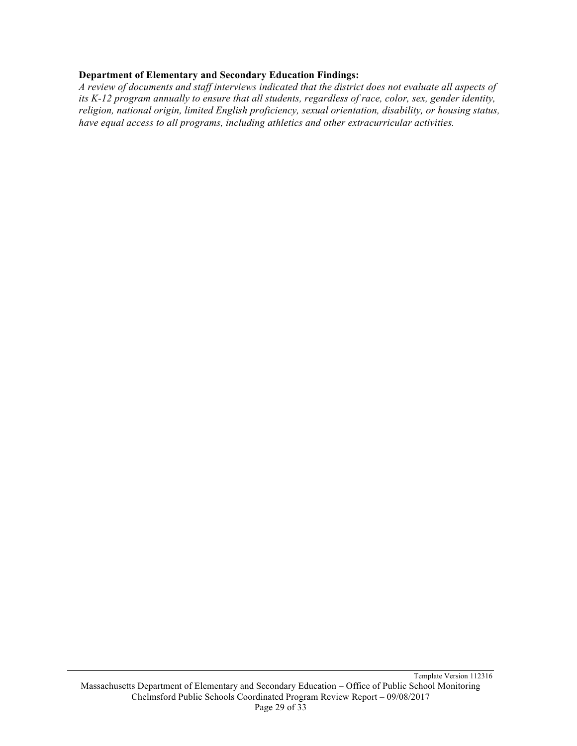*A review of documents and staff interviews indicated that the district does not evaluate all aspects of its K-12 program annually to ensure that all students, regardless of race, color, sex, gender identity, religion, national origin, limited English proficiency, sexual orientation, disability, or housing status, have equal access to all programs, including athletics and other extracurricular activities.*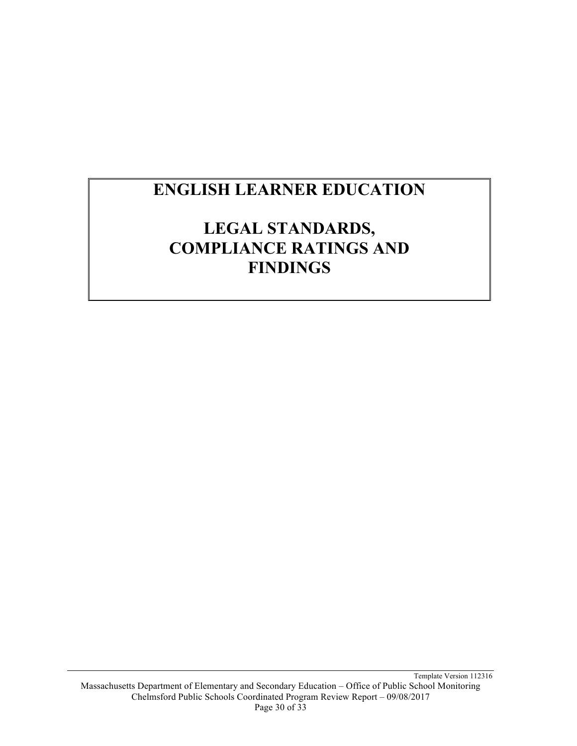# **ENGLISH LEARNER EDUCATION**

## **LEGAL STANDARDS, COMPLIANCE RATINGS AND FINDINGS**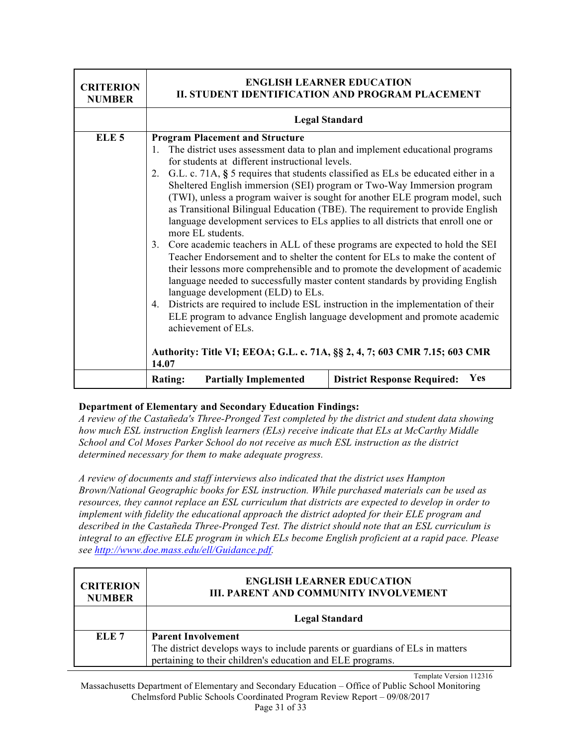| <b>CRITERION</b><br><b>NUMBER</b> | <b>ENGLISH LEARNER EDUCATION</b><br>II. STUDENT IDENTIFICATION AND PROGRAM PLACEMENT                                                                                                                                                                                                                                                                                                                                                                                                                                                                                                                                                                                                                                                                                                                                                                                                                                                                                                                                                                                                                                                                                                                                                                                                                                              |                                           |
|-----------------------------------|-----------------------------------------------------------------------------------------------------------------------------------------------------------------------------------------------------------------------------------------------------------------------------------------------------------------------------------------------------------------------------------------------------------------------------------------------------------------------------------------------------------------------------------------------------------------------------------------------------------------------------------------------------------------------------------------------------------------------------------------------------------------------------------------------------------------------------------------------------------------------------------------------------------------------------------------------------------------------------------------------------------------------------------------------------------------------------------------------------------------------------------------------------------------------------------------------------------------------------------------------------------------------------------------------------------------------------------|-------------------------------------------|
|                                   |                                                                                                                                                                                                                                                                                                                                                                                                                                                                                                                                                                                                                                                                                                                                                                                                                                                                                                                                                                                                                                                                                                                                                                                                                                                                                                                                   |                                           |
| ELE <sub>5</sub>                  | <b>Legal Standard</b><br><b>Program Placement and Structure</b><br>The district uses assessment data to plan and implement educational programs<br>1.<br>for students at different instructional levels.<br>G.L. c. 71A, § 5 requires that students classified as ELs be educated either in a<br>2.<br>Sheltered English immersion (SEI) program or Two-Way Immersion program<br>(TWI), unless a program waiver is sought for another ELE program model, such<br>as Transitional Bilingual Education (TBE). The requirement to provide English<br>language development services to ELs applies to all districts that enroll one or<br>more EL students.<br>Core academic teachers in ALL of these programs are expected to hold the SEI<br>3.<br>Teacher Endorsement and to shelter the content for ELs to make the content of<br>their lessons more comprehensible and to promote the development of academic<br>language needed to successfully master content standards by providing English<br>language development (ELD) to ELs.<br>Districts are required to include ESL instruction in the implementation of their<br>$4_{\cdot}$<br>ELE program to advance English language development and promote academic<br>achievement of ELs.<br>Authority: Title VI; EEOA; G.L. c. 71A, §§ 2, 4, 7; 603 CMR 7.15; 603 CMR<br>14.07 |                                           |
|                                   | <b>Rating:</b><br><b>Partially Implemented</b>                                                                                                                                                                                                                                                                                                                                                                                                                                                                                                                                                                                                                                                                                                                                                                                                                                                                                                                                                                                                                                                                                                                                                                                                                                                                                    | Yes<br><b>District Response Required:</b> |

*A review of the Castañeda's Three-Pronged Test completed by the district and student data showing how much ESL instruction English learners (ELs) receive indicate that ELs at McCarthy Middle School and Col Moses Parker School do not receive as much ESL instruction as the district determined necessary for them to make adequate progress.*

*A review of documents and staff interviews also indicated that the district uses Hampton Brown/National Geographic books for ESL instruction. While purchased materials can be used as resources, they cannot replace an ESL curriculum that districts are expected to develop in order to implement with fidelity the educational approach the district adopted for their ELE program and described in the Castañeda Three-Pronged Test. The district should note that an ESL curriculum is integral to an effective ELE program in which ELs become English proficient at a rapid pace. Please see http://www.doe.mass.edu/ell/Guidance.pdf.*

| <b>CRITERION</b><br><b>NUMBER</b> | <b>ENGLISH LEARNER EDUCATION</b><br><b>III. PARENT AND COMMUNITY INVOLVEMENT</b>                                                                                        |  |  |
|-----------------------------------|-------------------------------------------------------------------------------------------------------------------------------------------------------------------------|--|--|
|                                   | <b>Legal Standard</b>                                                                                                                                                   |  |  |
| ELE <sub>7</sub>                  | <b>Parent Involvement</b><br>The district develops ways to include parents or guardians of ELs in matters<br>pertaining to their children's education and ELE programs. |  |  |

Template Version 112316 Massachusetts Department of Elementary and Secondary Education – Office of Public School Monitoring Chelmsford Public Schools Coordinated Program Review Report – 09/08/2017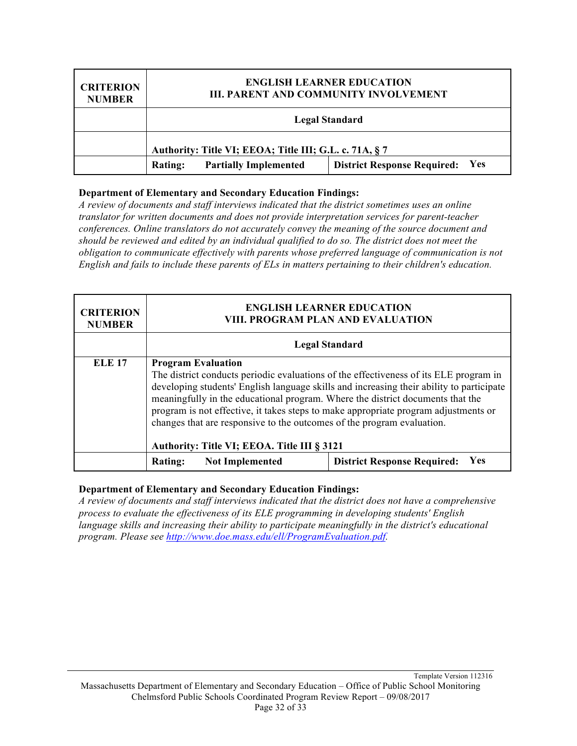| <b>CRITERION</b><br><b>NUMBER</b> | <b>ENGLISH LEARNER EDUCATION</b><br><b>III. PARENT AND COMMUNITY INVOLVEMENT</b> |                              |                                                  |
|-----------------------------------|----------------------------------------------------------------------------------|------------------------------|--------------------------------------------------|
|                                   | <b>Legal Standard</b>                                                            |                              |                                                  |
|                                   | Authority: Title VI; EEOA; Title III; G.L. c. 71A, § 7                           |                              |                                                  |
|                                   | Rating:                                                                          | <b>Partially Implemented</b> | <b>Yes</b><br><b>District Response Required:</b> |

*A review of documents and staff interviews indicated that the district sometimes uses an online translator for written documents and does not provide interpretation services for parent-teacher conferences. Online translators do not accurately convey the meaning of the source document and should be reviewed and edited by an individual qualified to do so. The district does not meet the obligation to communicate effectively with parents whose preferred language of communication is not English and fails to include these parents of ELs in matters pertaining to their children's education.*

| <b>CRITERION</b><br><b>NUMBER</b> | <b>ENGLISH LEARNER EDUCATION</b><br><b>VIII. PROGRAM PLAN AND EVALUATION</b>                                                                                                                                                                                                                                                                                                                                                                                                                                     |                                                  |
|-----------------------------------|------------------------------------------------------------------------------------------------------------------------------------------------------------------------------------------------------------------------------------------------------------------------------------------------------------------------------------------------------------------------------------------------------------------------------------------------------------------------------------------------------------------|--------------------------------------------------|
|                                   | <b>Legal Standard</b>                                                                                                                                                                                                                                                                                                                                                                                                                                                                                            |                                                  |
| <b>ELE 17</b>                     | <b>Program Evaluation</b><br>The district conducts periodic evaluations of the effectiveness of its ELE program in<br>developing students' English language skills and increasing their ability to participate<br>meaningfully in the educational program. Where the district documents that the<br>program is not effective, it takes steps to make appropriate program adjustments or<br>changes that are responsive to the outcomes of the program evaluation.<br>Authority: Title VI; EEOA. Title III § 3121 |                                                  |
|                                   | <b>Not Implemented</b><br>Rating:                                                                                                                                                                                                                                                                                                                                                                                                                                                                                | <b>Yes</b><br><b>District Response Required:</b> |

#### **Department of Elementary and Secondary Education Findings:**

*A review of documents and staff interviews indicated that the district does not have a comprehensive process to evaluate the effectiveness of its ELE programming in developing students' English language skills and increasing their ability to participate meaningfully in the district's educational program. Please see http://www.doe.mass.edu/ell/ProgramEvaluation.pdf.*